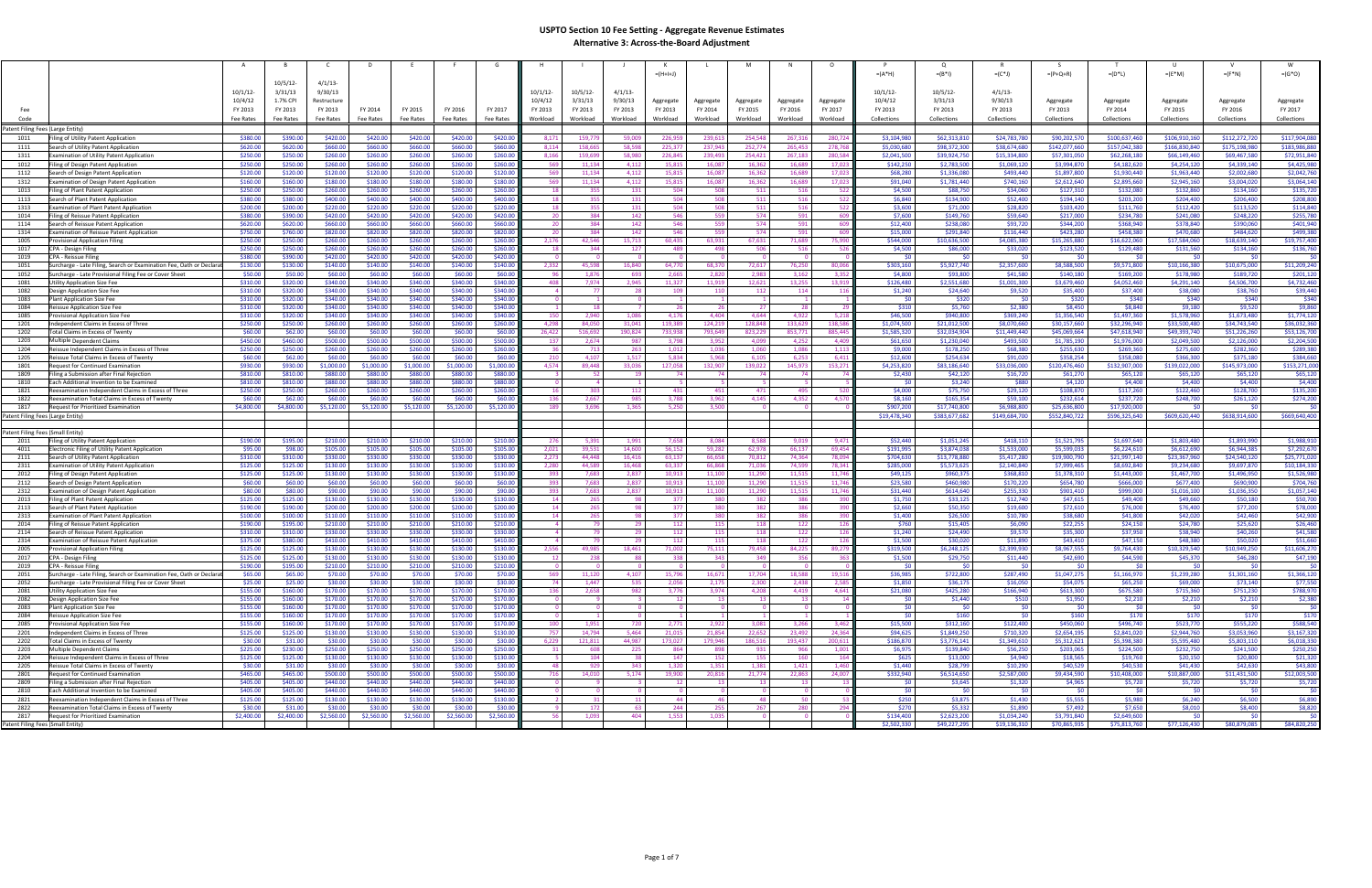|                                   |                                                                                                       |                       |                       |                       |                       |                       |                       |                       |                       |                         |                         | $= (H + I + J)$         |                     |                         |                                |                     | $=(A^*H)$              | $=(B^*1)$                  | $= (C^*J)$               | $=(P+Q+R)$                 | $=(D^*L)$                  | $=(E^*M)$                  | $=(F^*N)$                   | $=(G^*O)$                  |
|-----------------------------------|-------------------------------------------------------------------------------------------------------|-----------------------|-----------------------|-----------------------|-----------------------|-----------------------|-----------------------|-----------------------|-----------------------|-------------------------|-------------------------|-------------------------|---------------------|-------------------------|--------------------------------|---------------------|------------------------|----------------------------|--------------------------|----------------------------|----------------------------|----------------------------|-----------------------------|----------------------------|
|                                   |                                                                                                       |                       | 10/5/12               | $4/1/13$ -            |                       |                       |                       |                       |                       |                         |                         |                         |                     |                         |                                |                     |                        |                            |                          |                            |                            |                            |                             |                            |
|                                   |                                                                                                       | 10/1/12               | 3/31/13               | 9/30/13               |                       |                       |                       |                       | 10/1/12               | 10/5/12                 | 4/1/13                  |                         |                     |                         |                                |                     | 10/1/12                | 10/5/12                    | $4/1/13$ -               |                            |                            |                            |                             |                            |
|                                   |                                                                                                       | 10/4/12               | 1.7% CPI              | Restructure           |                       |                       |                       |                       | 10/4/12               | 3/31/13                 | 9/30/13                 | Aggregate               | Aggregate           | Aggregate               | Aggregate                      | Aggregate           | 10/4/12                | 3/31/13                    | 9/30/13                  | Aggregate                  | Aggregate                  | Aggregate                  | Aggregate                   | Aggregate                  |
| Fee<br>Code                       |                                                                                                       | FY 2013<br>Fee Rates  | FY 2013<br>Fee Rates  | FY 2013<br>Fee Rates  | FY 2014<br>Fee Rates  | FY 2015<br>Fee Rates  | FY 2016<br>Fee Rates  | FY 2017<br>Fee Rates  | FY 2013<br>Workload   | FY 2013<br>Workload     | FY 2013<br>Workload     | FY 2013<br>Workload     | FY 2014<br>Workload | FY 2015<br>Workload     | FY 2016<br>Workload            | FY 2017<br>Workload | FY 2013<br>Collections | FY 2013<br>Collections     | FY 2013<br>Collections   | FY 2013<br>Collections     | FY 2014<br>Collections     | FY 2015<br>Collections     | FY 2016<br>Collections      | FY 2017<br>Collections     |
| Patent Filing Fees (Large Entity) |                                                                                                       |                       |                       |                       |                       |                       |                       |                       |                       |                         |                         |                         |                     |                         |                                |                     |                        |                            |                          |                            |                            |                            |                             |                            |
| 1011                              | iling of Utility Patent Application                                                                   | \$380.00              | \$390.00              | \$420.00              | \$420.00              | \$420.00              | \$420.00              | \$420.00              | 8,171                 | 159,779                 | 59,009                  | 226,959                 | 239,613             | 254,548                 | 267,316                        | 280,72              | \$3,104,980            | \$62,313,810               | \$24,783,780             | \$90,202,570               | \$100,637,460              | \$106,910,160              | \$112,272,720               | \$117,904,080              |
| 1111                              | Search of Utility Patent Application                                                                  | \$620.00              | \$620.00              | \$660.00              | \$660.00              | \$660.00              | \$660.00              | \$660.00              | 8,114                 | 158.665                 | 58,598                  | 225,377                 | 237,943             | 252,774                 | 265,453                        | 278,76              | \$5,030,680            | \$98,372,300               | \$38,674,680             | \$142,077,660              | \$157,042,380              | \$166.830.840              | \$175,198,980               | \$183,986,880              |
| 1311                              | Examination of Utility Patent Application                                                             | \$250.00              | \$250.00              | \$260.00              | \$260.00              | \$260.00              | \$260.00              | \$260.00              | 8,166                 | 159.699                 | 58,980                  | 226,845                 | 239,493             | 254,421                 | 267,183                        | 280.58              | \$2,041,500            | \$39,924,750               | \$15,334,800             | \$57,301,050               | \$62,268,180               | \$66,149,460               | \$69,467,580                | \$72,951,840               |
| 1012                              | Filing of Design Patent Application                                                                   | \$250.00              | \$250.00              | \$260.00              | \$260.00              | \$260.00              | \$260.00              | \$260.00              | 569                   | 11,134                  | 4,112                   | 15,815                  | 16,087              | 16,362                  | 16,689                         | 17,02               | \$142,250              | \$2,783,500                | \$1,069,120              | \$3,994,870                | \$4,182,620                | \$4,254,120                | \$4,339,140                 | \$4,425,980                |
| 1112<br>1312                      | Search of Design Patent Application<br>Examination of Design Patent Application                       | \$120.00<br>\$160.00  | \$120.00<br>\$160.00  | \$120.00<br>\$180.00  | \$120.00<br>\$180.00  | \$120.00<br>\$180.00  | \$120.00<br>\$180.00  | \$120.00<br>\$180.00  | 569<br>569            | 11,134<br>11,134        | 4,112<br>4,112          | 15,815<br>15,815        | 16,087<br>16,087    | 16,362<br>16,362        | 16,689<br>16,689               | 17,02<br>17,02      | \$68,280<br>\$91,040   | \$1,336,080<br>\$1,781,440 | \$493,440<br>\$740,160   | \$1,897,800<br>\$2,612,640 | \$1,930,440<br>\$2,895,660 | \$1,963,440<br>\$2,945,160 | \$2,002,680<br>\$3,004,020  | \$2,042,760<br>\$3,064,140 |
| 1013                              | Filing of Plant Patent Application                                                                    | \$250.00              | \$250.00              | \$260.00              | \$260.00              | \$260.00              | \$260.00              | \$260.00              |                       | 355                     | 131                     | 504                     | 508                 | 511                     | 516                            |                     | \$4,500                | \$88,750                   | \$34,060                 | \$127,310                  | \$132,080                  | \$132,860                  | \$134,160                   | \$135,72                   |
| 1113                              | Search of Plant Patent Application                                                                    | \$380.00              | \$380.00              | \$400.00              | \$400.00              | \$400.00              | \$400.00              | \$400.00              | 18                    | 355                     | 131                     | 504                     | 508                 | 511                     | 516                            | 522                 | \$6,840                | \$134,900                  | \$52,400                 | \$194,140                  | \$203,200                  | \$204,400                  | \$206,400                   | \$208,800                  |
| 1313                              | Examination of Plant Patent Application                                                               | \$200.00              | \$200.00              | \$220.00              | \$220.00              | \$220.00              | \$220.00              | \$220.00              | 18                    | 355                     | 131                     | 504                     | 508                 | 511                     | 516                            |                     | \$3,600                | \$71,000                   | \$28,820                 | \$103,420                  | \$111,760                  | \$112,420                  | \$113,520                   | \$114,840                  |
| 1014<br>1114                      | Filing of Reissue Patent Application<br>Search of Reissue Patent Application                          | \$380.00<br>\$620.00  | \$390.00<br>\$620.00  | \$420.00<br>\$660.00  | \$420.00<br>\$660.00  | \$420.00<br>\$660.00  | \$420.00<br>\$660.00  | \$420.00<br>\$660.00  | -20<br>- 20           | 384<br>384              | 142<br>142              | 546<br>546              | 559<br>559          | 574<br>574              | 591<br>591                     | - 60<br>-60         | \$7,600<br>\$12,400    | \$149,760<br>\$238,080     | \$59,640<br>\$93,720     | \$217,000<br>\$344,200     | \$234,780<br>\$368,940     | \$241,080<br>\$378,840     | \$248,220<br>\$390,060      | \$255,780<br>\$401,940     |
| 1314                              | Examination of Reissue Patent Application                                                             | \$750.00              | \$760.00              | \$820.00              | \$820.00              | \$820.00              | \$820.00              | \$820.00              | -20                   | 384                     | 142                     | 546                     | 559                 | 574                     | 591                            | -60                 | \$15,000               | \$291,840                  | \$116,440                | \$423,280                  | \$458,380                  | \$470,680                  | \$484,620                   | \$499,380                  |
| 1005                              | Provisional Application Filing                                                                        | \$250.00              | \$250.00              | \$260.00              | \$260.00              | \$260.00              | \$260.00              | \$260.00              | 2,176                 | 42.546                  | 15,713                  | 60,435                  | 63,931              | 67,631                  | 71,689                         | 75,99               | \$544,000              | \$10,636,500               | \$4,085,380              | \$15,265,880               | \$16,622,060               | \$17,584,060               | \$18,639,140                | \$19,757,400               |
| 1017                              | CPA - Design Filing                                                                                   | \$250.00              | \$250.00              | \$260.00              | \$260.00              | \$260.00              | \$260.00              | \$260.00              | 18                    | 344                     | 127                     | 489                     | 498                 | 506                     | 516                            | - 52                | \$4,500                | \$86,000                   | \$33,020                 | \$123,520                  | \$129,480                  | \$131,560                  | \$134,160                   | \$136,760                  |
| 1019<br>1051                      | CPA - Reissue Filing<br>Surcharge - Late Filing, Search or Examination Fee, Oath or Declarat          | \$380.00<br>\$130.00  | \$390.00<br>\$130.00  | \$420.00<br>\$140.00  | \$420.00<br>\$140.00  | \$420.00<br>\$140.00  | \$420.00<br>\$140.00  | \$420.00<br>\$140.00  | 2,332                 | 45,598                  | 16,840                  | 64,770                  | 68,370              | 72,617                  | 76,250                         | 80,066              | - <∩<br>\$303,160      | \$5,927,740                | \$2,357,600              | \$0<br>\$8,588,500         | \$9,571,800                | \$10,166,380               | \$10,675,000                | \$11,209,240               |
| 1052                              | Surcharge - Late Provisional Filing Fee or Cover Sheet                                                | \$50.00               | \$50.00               | \$60.00               | \$60.00               | \$60.00               | \$60.00               | \$60.00               |                       | 1.876                   | -693                    | 2,665                   | 2.820               | 2,983                   | 3.162                          | 3.35                | \$4,800                | \$93,800                   | \$41,580                 | \$140,180                  | \$169,200                  | \$178,980                  | \$189,720                   | \$201,120                  |
| 1081                              | Utility Application Size Fee                                                                          | \$310.00              | \$320.00              | \$340.00              | \$340.00              | \$340.00              | \$340.00              | \$340.00              | 408                   | 7,974                   | 2,945                   | 11,327                  | 11,919              | 12,621                  | 13,255                         | 13.91               | \$126,480              | \$2,551,680                | \$1,001,300              | \$3,679,460                | \$4,052,460                | \$4,291,140                | \$4,506,700                 | \$4,732,460                |
| 1082                              | Design Application Size Fee                                                                           | \$310.00              | \$320.00              | \$340.00              | \$340.00              | \$340.00              | \$340.00              | \$340.00              |                       | - 77                    | 28                      | 109                     | 110                 | 112                     | 114                            |                     | \$1,240                | \$24,640                   | \$9,520                  | \$35,400                   | \$37,400                   | \$38,080                   | \$38,760                    | \$39,440                   |
| 1083<br>1084                      | Plant Application Size Fee                                                                            | \$310.00<br>\$310.00  | \$320.00<br>\$320.00  | \$340.00<br>\$340.00  | \$340.00<br>\$340.00  | \$340.00<br>\$340.00  | \$340.00<br>\$340.00  | \$340.00<br>\$340.00  | $\Omega$              | 18                      |                         | -26                     | - 26                | 27 <sup>1</sup>         | 78                             |                     | \$0<br>\$310           | \$320<br>\$5,760           | \$0<br>\$2,380           | \$320<br>\$8,450           | \$340<br>\$8,840           | \$340<br>\$9,180           | \$340<br>\$9,520            | \$340<br>\$9,860           |
| 1085                              | <b>Reissue Application Size Fee</b><br>Provisional Application Size Fee                               | \$310.00              | \$320.00              | \$340.00              | \$340.00              | \$340.00              | \$340.00              | \$340.00              | 150                   | 2,940                   | 1,086                   | 4,176                   | 4,404               | 4,644                   | 4,922                          | 5.21                | \$46,500               | \$940,800                  | \$369,240                | \$1,356,540                | \$1,497,360                | \$1,578,960                | \$1,673,480                 | \$1,774,120                |
| 1201                              | Independent Claims in Excess of Three                                                                 | \$250.00              | \$250.00              | \$260.00              | \$260.00              | \$260.00              | \$260.00              | \$260.00              | 4,298                 | 84.050                  | 31.041                  | 119,389                 | 124,219             | 128,848                 | 133.629                        | 138.58              | \$1,074,500            | \$21,012,500               | \$8,070,660              | \$30,157,660               | \$32,296,940               | \$33,500,480               | \$34,743,540                | \$36,032,360               |
| 1202                              | <b>Total Claims in Excess of Twenty</b>                                                               | \$60.00               | \$62.00               | \$60.00               | \$60.00               | \$60.00               | \$60.00               | \$60.00               | 26,422                | 516.692                 | 190,824                 | 733,938                 | 793,649             | 823,229                 | 853,771                        | 885.44              | \$1,585,320            | \$32,034,904               | \$11,449,440             | \$45,069,664               | \$47,618,940               | \$49,393,740               | \$51,226,260                | \$53,126,700               |
| 1203<br>1204                      | Multiple Dependent Claims                                                                             | \$450.00              | \$460.00              | \$500.00              | \$500.00<br>\$260.00  | \$500.00              | \$500.00              | \$500.00<br>\$260.00  | 137<br>-36            | 2.674<br>713            | 987<br>263              | 3.798                   | 3.952<br>1.036      | 4.099<br>1.060          | 4.252<br>1.086                 | 4.40<br>1.11        | \$61,650               | \$1,230,040                | \$493,500<br>\$68,380    | \$1,785,190                | \$1,976,000                | \$2,049,500                | \$2,126,000                 | \$2,204,500                |
| 1205                              | Reissue Independent Claims in Excess of Three<br>Reissue Total Claims in Excess of Twenty             | \$250.00<br>\$60.00   | \$250.00<br>\$62.00   | \$260.00<br>\$60.00   | \$60.00               | \$260.00<br>\$60.00   | \$260.00<br>\$60.00   | \$60.00               | 210                   | 4.107                   | 1,517                   | 1,012<br>5.834          | 5.968               | 6,105                   | 6.253                          | 6.41                | \$9,000<br>\$12,600    | \$178,250<br>\$254,634     | \$91,020                 | \$255,630<br>\$358,254     | \$269,360<br>\$358,080     | \$275,600<br>\$366,300     | \$282,360<br>\$375,180      | \$289,380<br>\$384,660     |
| 1801                              | Request for Continued Examination                                                                     | \$930.00              | \$930.00              | \$1,000.00            | 1.000.00              | \$1,000.00            | \$1,000.00            | \$1,000.00            | 4,574                 | 89.448                  | 33,036                  | 127,058                 | 132,907             | 139,022                 | 145,973                        | 153,27              | \$4,253,820            | \$83,186,640               | \$33,036,000             | \$120,476,460              | \$132,907,000              | \$139,022,000              | \$145,973,000               | \$153,271,000              |
| 1809                              | Filing a Submission after Final Rejection                                                             | \$810.00              | \$810.00              | \$880.00              | \$880.00              | \$880.00              | \$880.00              | \$880.00              | $\overline{3}$        | - 52                    | 19                      | 74                      | 74                  | 74                      | 74                             |                     | \$2,430                | \$42,120                   | \$16,720                 | \$61,270                   | \$65,120                   | \$65,120                   | \$65,120                    | \$65,120                   |
| 1810                              | Each Additional Invention to be Examined                                                              | \$810.00              | \$810.00              | \$880.00              | \$880.00              | \$880.00              | \$880.00              | \$880.0               | -16                   | -303                    |                         | 431                     | 451                 | 471                     | 495                            | -52                 | -50                    | \$3,240                    | \$880                    | \$4,120                    | \$4,400                    | \$4,400                    | \$4,400                     | \$4,400<br>\$135,200       |
| 1821<br>1822                      | Reexamination Independent Claims in Excess of Three<br>Reexamination Total Claims in Excess of Twenty | \$250.00<br>\$60.00   | \$250.00<br>\$62.00   | \$260.00<br>\$60.00   | \$260.00<br>\$60.00   | \$260.00<br>\$60.00   | \$260.00<br>\$60.00   | \$260.00<br>\$60.00   | 136                   | 2,667                   | 112<br>985              | 3,788                   | 3,962               | 4,145                   | 4,352                          | 4,57                | \$4,000<br>\$8,160     | \$75,750<br>\$165,354      | \$29,120<br>\$59,100     | \$108,870<br>\$232,614     | \$117,260<br>\$237,720     | \$122,460<br>\$248,700     | \$128,700<br>\$261,120      | \$274,200                  |
| 1817                              | Request for Prioritized Examination                                                                   | \$4,800.00            | \$4,800.00            | \$5,120.00            | \$5,120.00            | \$5,120.00            | \$5,120.00            | \$5,120.00            | 189                   | 3.696                   | 1.365                   | 5,250                   | 3,500               |                         |                                |                     | \$907,200              | \$17,740,800               | \$6,988,800              | \$25,636,800               | \$17,920,000               |                            | - 50                        | - ל∩                       |
| Patent Filing Fees (Large Entity) |                                                                                                       |                       |                       |                       |                       |                       |                       |                       |                       |                         |                         |                         |                     |                         |                                |                     | \$19,478,340           | \$383,677,682              | \$149,684,700            | \$552,840,722              | \$596,325,640              | \$609,620,440              | \$638,914,600               | \$669,640,400              |
| Patent Filing Fees (Small Entity) |                                                                                                       |                       |                       |                       |                       |                       |                       |                       |                       |                         |                         |                         |                     |                         |                                |                     |                        |                            |                          |                            |                            |                            |                             |                            |
| 2011                              | Filing of Utility Patent Application                                                                  | \$190.00              | \$195.00              | \$210.00              | \$210.00              | \$210.00              | \$210.00              | \$210.00              | 276                   | 5,391                   | 1.991                   | 7,658                   | 8,084               | 8,588                   | 9.019                          | 9,471               | \$52,440               | \$1,051,245                | \$418,110                | \$1,521,795                | \$1,697,640                | \$1,803,480                | \$1,893,990                 | \$1,988,910                |
| 4011                              | Electronic Filing of Utility Patent Application                                                       | \$95.00               | \$98.00               | \$105.00              | \$105.00              | \$105.00              | \$105.00              | \$105.00              | 2,021                 | 39.53                   | 14,600                  | 56,152                  | 59,282              | 62,978                  | 66,137                         | 69,454              | \$191,995              | \$3,874,038                | \$1,533,000              | \$5,599,033                | \$6,224,610                | \$6,612,690                | \$6,944,385                 | \$7,292,670                |
| 2111                              | Search of Utility Patent Application                                                                  | \$310.00              | \$310.00              | \$330.00              | \$330.00              | \$330.00              | \$330.00              | \$330.00              | 2,273                 | 44.448                  | 16,416                  | 63,137                  | 66.658              | 70,812                  | 74,364                         | 78.09               | \$704,630              | \$13,778,880               | \$5,417,280              | \$19,900,790               | \$21,997,140               | \$23,367,960               | \$24,540,120                | \$25,771,020               |
| 2311<br>2012                      | Examination of Utility Patent Application<br>Filing of Design Patent Application                      | \$125.00<br>\$125.00  | \$125.00<br>\$125.00  | \$130.00<br>\$130.00  | \$130.00<br>\$130.00  | \$130.00<br>\$130.00  | \$130.00<br>\$130.00  | \$130.00<br>\$130.00  | 2,280<br>393          | 44,589<br>7.683         | 16,468<br>2,837         | 63,337<br>10,913        | 66,868<br>11,100    | 71,036<br>11,290        | 74,599<br>11,515               | 78,34<br>11,746     | \$285,000<br>\$49,125  | \$5,573,625<br>\$960,375   | \$2,140,840<br>\$368,810 | \$7,999,465<br>\$1,378,310 | \$8,692,840<br>\$1,443,000 | \$9,234,680<br>\$1,467,700 | \$9,697,870<br>\$1,496,950  | \$10,184,33<br>\$1,526,980 |
| 2112                              | Search of Design Patent Application                                                                   | \$60.00               | \$60.00               | \$60.00               | \$60.00               | \$60.00               | \$60.00               | \$60.00               | 393                   | 7.683                   | 2.837                   | 10,913                  | 11,100              | 11,290                  | 11,515                         | 11,74               | \$23,580               | \$460,980                  | \$170,220                | \$654,780                  | \$666,000                  | \$677,400                  | \$690,900                   | \$704,760                  |
| 2312                              | <b>Examination of Design Patent Application</b>                                                       | \$80.00               | \$80.00               | \$90.00               | \$90.00               | \$90.00               | \$90.00               | \$90.00               | 393                   | 7,683                   | 2,837                   | 10,913                  | 11,100              | 11,290                  | 11,515                         | 11,74               | \$31,440               | \$614,640                  | \$255,330                | \$901,410                  | \$999,000                  | \$1,016,100                | \$1,036,350                 | \$1,057,140                |
| 2013                              | Filing of Plant Patent Application                                                                    | \$125.00              | \$125.00              | \$130.00              | \$130.00              | \$130.00              | \$130.00              | \$130.00              | 14                    | 265                     | 98                      | 377                     | -380                | 382                     | 386                            | -39                 | \$1,750                | \$33,125                   | \$12,740                 | \$47,615                   | \$49,400                   | \$49,660                   | \$50,180                    | \$50,700                   |
| 2113<br>2313                      | Search of Plant Patent Application<br><b>Examination of Plant Patent Application</b>                  | \$190.00<br>\$100.00  | \$190.00<br>\$100.00  | \$200.00<br>\$110.00  | \$200.00<br>\$110.00  | \$200.00<br>\$110.00  | \$200.00<br>\$110.00  | \$200.00<br>\$110.00  | 14<br>14              | 265<br>265              | 98<br>98                | 377<br>377              | 380<br>380          | 382<br>382              | 386<br>386                     | -39                 | \$2,660<br>\$1,400     | \$50,350<br>\$26,500       | \$19,600<br>\$10,780     | \$72,610<br>\$38,680       | \$76,000<br>\$41,800       | \$76,400<br>\$42,020       | \$77,200<br>\$42,460        | \$78,000<br>\$42,900       |
| 2014                              | Filing of Reissue Patent Application                                                                  | \$190.00              | \$195.00              | \$210.00              | \$210.00              | \$210.00              | \$210.00              | \$210.00              | $\overline{4}$        | 79                      | 29                      | 112                     | 115                 | 118                     | 122                            | -12                 | \$760                  | \$15,405                   | \$6,090                  | \$22,255                   | \$24,150                   | \$24,780                   | \$25,620                    | \$26,460                   |
| 2114                              | Search of Reissue Patent Application                                                                  | \$310.00              | \$310.00              | \$330.00              | \$330.00              | \$330.00              | \$330.00              | \$330.00              |                       | - 79                    | 29                      | 112                     | 115                 | 118                     | 122                            |                     | \$1,240                | \$24,490                   | \$9,570                  | \$35,300                   | \$37,950                   | \$38,940                   | \$40,260                    | \$41,580                   |
| 2314                              | <b>Examination of Reissue Patent Application</b>                                                      | \$375.00              | \$380.00              | \$410.00              | \$410.00              | \$410.00              | \$410.00              | \$410.00              |                       | - 79                    | 29                      | 112                     | 115                 | 118                     | 122                            | 12                  | \$1,500                | \$30,020                   | \$11,890                 | \$43,410                   | \$47,150                   | \$48,380                   | \$50,020                    | \$51,660                   |
| 2005<br>2017                      | <b>Provisional Application Filing</b><br>CPA - Design Filing                                          | \$125.00<br>\$125.00  | \$125.00<br>\$125.00  | \$130.00<br>\$130.00  | \$130.00<br>\$130.00  | \$130.00<br>\$130.00  | \$130.00<br>\$130.00  | \$130.00<br>\$130.0   | 2,556                 | 49.985<br>238           | 18,461<br>88            | 71,002<br>338           | 75,111<br>343       | 79,458<br>349           | 84,225<br>356                  | 89,27               | \$319,500<br>\$1,500   | \$6,248,12!<br>\$29,750    | \$2,399,930<br>\$11,440  | \$8,967,555<br>\$42,690    | \$9,764,430<br>\$44,590    | \$10,329,540<br>\$45,370   | \$10,949,250<br>\$46,280    | \$11,606,270<br>\$47,190   |
| 2019                              | CPA - Reissue Filing                                                                                  | \$190.00              | \$195.00              | \$210.00              | \$210.00              | \$210.00              | \$210.00              | \$210.00              | $\Omega$              | $\sqrt{ }$              | $\Omega$                | $\Omega$                |                     | $\sim$                  | $\Omega$                       |                     | SO I                   | SO.                        | SO.                      | - so l                     | SO.                        | - \$0                      | SO I                        | SO.                        |
| 2051                              | Surcharge - Late Filing, Search or Examination Fee, Oath or Declarat                                  | \$65.00               | \$65.00               | \$70.00               | \$70.00               | \$70.00               | \$70.00               | \$70.00               | 569                   | 11,120                  | 4,107                   | 15,796                  | 16,671              | 17,704                  | 18,588                         | 19,51               | \$36,985               | \$722,800                  | \$287,490                | \$1,047,275                | \$1,166,970                | \$1,239,280                | \$1,301,160                 | \$1,366,120                |
| 2052                              | Surcharge - Late Provisional Filing Fee or Cover Sheet                                                | \$25.00<br>\$155.00   | \$25.00               | \$30.00<br>\$170.00   | \$30.00<br>\$170.00   | \$30.00<br>\$170.00   | \$30.00<br>\$170.00   | \$30.00<br>\$170.00   | 74                    | 1,447<br>2,658          | 535                     | 2,056<br>3,776          | 2,175               | 2,300<br>4,208          | 2,438                          | 2,585               | \$1,850<br>\$21,080    | \$36,175<br>\$425,280      | \$16,050<br>\$166,940    | \$54,075<br>\$613,300      | \$65,250<br>\$675,580      | \$69,000<br>\$715,360      | \$73,140<br>\$751,230       | \$77,550<br>\$788,970      |
| 2081<br>2082                      | Utility Application Size Fee<br>Design Application Size Fee                                           | \$155.00              | \$160.00<br>\$160.00  | \$170.00              | \$170.00              | \$170.00              | \$170.00              | \$170.00              | 136<br>$\overline{0}$ | <sup>9</sup>            | 982<br>$\mathbf{B}$     | 12                      | 3,974<br>13         | 13                      | 4,419<br><b>13</b>             | 4,641               | 50 <sub>1</sub>        | \$1,440                    | \$510                    | \$1,950                    | \$2,210                    | \$2,210                    | \$2,210                     | \$2,380                    |
| 2083                              | Plant Application Size Fee                                                                            | \$155.00              | \$160.00              | \$170.00              | \$170.00              | \$170.00              | \$170.00              | \$170.00              | $\Omega$              | $\overline{\mathbf{0}}$ | $\overline{0}$          | $\overline{\mathbf{0}}$ |                     | $\overline{\mathbf{0}}$ | $\overline{\mathbf{0}}$        |                     | 50 <sub>1</sub>        | \$0                        | - \$0 l                  | 50 <sub>1</sub>            | \$0                        | \$0                        | - \$0                       | \$0                        |
| 2084                              | Reissue Application Size Fee                                                                          | \$155.00              | \$160.00              | \$170.00              | \$170.00              | \$170.00              | \$170.00              | \$170.00              | $\Omega$              |                         | $\overline{\mathbf{0}}$ |                         |                     | $\overline{1}$          | $\overline{1}$                 |                     | SO I                   | \$160                      | \$0                      | \$160                      | \$170                      | \$170                      | \$170                       | \$170                      |
| 2085                              | Provisional Application Size Fee                                                                      | \$155.00              | \$160.00              | \$170.00              | \$170.00              | \$170.00              | \$170.00              | \$170.00              | 100<br>757            | 1,951                   | 720                     | 2,771                   | 2,922               | 3,081                   | 3,266                          | 3,462               | \$15,500<br>\$94,625   | \$312,160<br>\$1,849,250   | \$122,400<br>\$710,320   | \$450,060<br>\$2,654,195   | \$496,740<br>\$2,841,020   | \$523,770<br>\$2,944,760   | \$555,220<br>\$3,053,960    | \$588,540<br>\$3,167,320   |
| 2201<br>2202                      | Independent Claims in Excess of Three<br>Total Claims in Excess of Twenty                             | \$125.00<br>\$30.00   | \$125.00<br>\$31.00   | \$130.00<br>\$30.00   | \$130.00<br>\$30.00   | \$130.00<br>\$30.00   | \$130.00<br>\$30.00   | \$130.00<br>\$30.00   | 6,229                 | 14,794<br>121,811       | 5,464<br>44,987         | 21,015<br>173,027       | 21,854<br>179,946   | 22,652<br>186,516       | 23,492<br>193,437              | 24,364<br>200,611   | \$186,870              | \$3,776,141                | \$1,349,610              | \$5,312,621                | \$5,398,380                | \$5,595,480                | \$5,803,110                 | \$6,018,330                |
| 2203                              | Multiple Dependent Claims                                                                             | \$225.00              | \$230.00              | \$250.00              | \$250.00              | \$250.00              | \$250.00              | \$250.00              | 31                    | 608                     | 225                     | 864                     | 898                 | 931                     | 966                            | 1,001               | \$6,975                | \$139,840                  | \$56,250                 | \$203,065                  | \$224,500                  | \$232,750                  | \$241,500                   | \$250,250                  |
| 2204                              | Reissue Independent Claims in Excess of Three                                                         | \$125.00              | \$125.00              | \$130.00              | \$130.00              | \$130.00              | \$130.00              | \$130.00              |                       | 104                     | 38                      | 147                     | 152                 | 155                     | 160                            | -16                 | \$625                  | \$13,000                   | \$4,940                  | \$18,565                   | \$19,760                   | \$20,150                   | \$20,800                    | \$21,320                   |
| 2205                              | Reissue Total Claims in Excess of Twenty                                                              | \$30.00               | \$31.00               | \$30.00               | \$30.00               | \$30.00               | \$30.00               | \$30.00               | 48                    | 929                     | 343                     | 1.320                   | 1,351               | 1,381                   | 1.421                          | 1,460               | \$1,440                | \$28,799                   | \$10,290<br>\$2,587,000  | \$40,529                   | \$40,530                   | \$41,430                   | \$42,630                    | \$43,800                   |
| 2801<br>2809                      | Request for Continued Examination<br>Filing a Submission after Final Rejection                        | \$465.00<br>\$405.00  | \$465.00<br>\$405.00  | \$500.00<br>\$440.00  | \$500.00<br>\$440.00  | \$500.00<br>\$440.00  | \$500.00<br>\$440.00  | \$500.00<br>\$440.00  | 716<br>- 0            | 14,010                  | 5,174                   | 19,900<br>12            | 20,816<br>- 13      | 21,774<br><sup>13</sup> | 22,863<br><b>13</b>            | 24,007              | \$332,940<br>-SO       | \$6,514,650<br>\$3,645     | \$1,320                  | \$9,434,590<br>\$4,965     | \$10,408,000<br>\$5,720    | \$10,887,000<br>\$5,720    | \$11,431,500<br>\$5,720     | \$12,003,500<br>\$5,720    |
| 2810                              | Each Additional Invention to be Examined                                                              | \$405.00              | \$405.00              | \$440.00              | \$440.00              | \$440.00              | \$440.00              | \$440.00              | - 0                   | - റ                     | $\overline{\mathbf{0}}$ | - റ                     |                     | $\overline{\mathbf{0}}$ | - 0                            |                     | -SO                    | \$0                        | \$0                      | 50 <sub>1</sub>            | \$0                        | - SO                       | 50 <sup>1</sup>             | \$0                        |
| 2821                              | Reexamination Independent Claims in Excess of Three                                                   | \$125.00              | \$125.00              | \$130.00              | \$130.00              | \$130.00              | \$130.00              | \$130.00              |                       | 31                      | 11                      | 44                      | -46                 | 48                      | 50                             |                     | \$250                  | \$3,875                    | \$1,430                  | \$5,555                    | \$5,980                    | \$6,240                    | \$6,500                     | \$6,890                    |
| 2822<br>2817                      | Reexamination Total Claims in Excess of Twenty<br>Request for Prioritized Examination                 | \$30.00<br>\$2,400.00 | \$31.00<br>\$2,400.00 | \$30.00<br>\$2,560.00 | \$30.00<br>\$2,560.00 | \$30.00<br>\$2,560.00 | \$30.00<br>\$2,560.00 | \$30.00<br>\$2,560.00 | <b>q</b><br>56        | 172<br>1,093            | 63<br>404               | 744<br>1,553            | 255<br>1,035        | 267<br>$\overline{0}$   | 280<br>$\overline{\mathbf{0}}$ | - 29                | \$270<br>\$134,400     | \$5,332<br>\$2,623,200     | \$1,890<br>\$1,034,240   | \$7,492<br>\$3,791,840     | \$7,650<br>\$2,649,600     | \$8,010<br>- SO            | \$8,400<br>\$0 <sub>1</sub> | \$8,820<br>\$0             |
| Patent Filing Fees (Small Entity) |                                                                                                       |                       |                       |                       |                       |                       |                       |                       |                       |                         |                         |                         |                     |                         |                                |                     | \$2,502,330            | \$49,227,295               | \$19,136,310             | \$70,865,935               | \$75,813,760               | \$77.126.430               | \$80,879,085                | \$84,820,250               |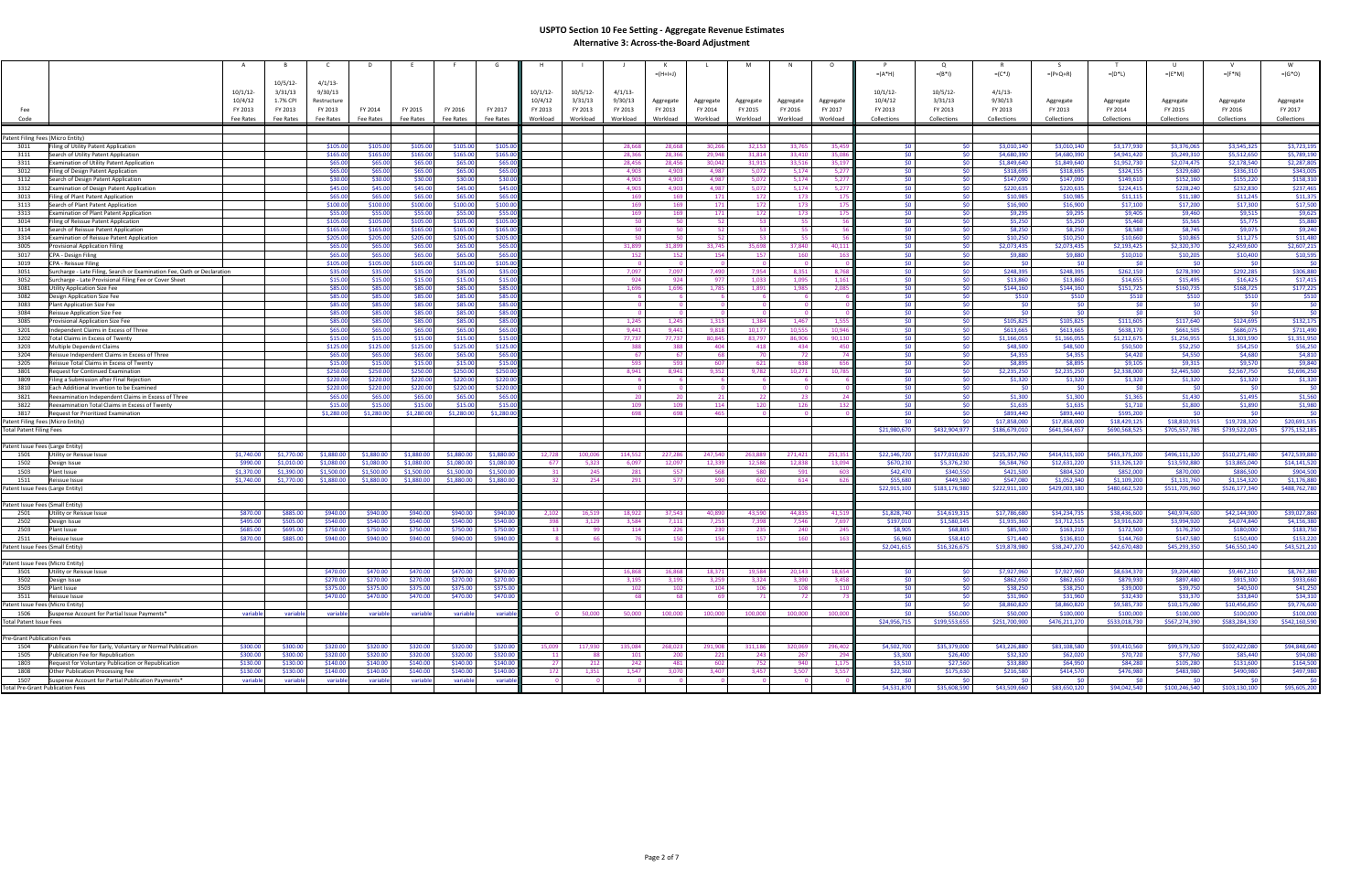|                                         |                                                                         | B           | - C         | D          |            |            |            |             |             |                |             |            | M                       |           |           |                 | Q             |               | - 5             |               |               |                 |               |
|-----------------------------------------|-------------------------------------------------------------------------|-------------|-------------|------------|------------|------------|------------|-------------|-------------|----------------|-------------|------------|-------------------------|-----------|-----------|-----------------|---------------|---------------|-----------------|---------------|---------------|-----------------|---------------|
|                                         |                                                                         |             |             |            |            |            |            |             |             |                | $= (H+H+J)$ |            |                         |           |           | $=(A^*H)$       | $=(B^*1)$     | $=(C^*J)$     | $= (P + Q + R)$ | $= (D^*L)$    | $=(E^*M)$     | $=(F^*N)$       | $=(G^*O)$     |
|                                         |                                                                         | $10/5/12$ - | $4/1/13$ -  |            |            |            |            |             |             |                |             |            |                         |           |           |                 |               |               |                 |               |               |                 |               |
|                                         | 10/1/12                                                                 | 3/31/13     | 9/30/13     |            |            |            |            | $10/1/12$ - | $10/5/12$ - | 4/1/13         |             |            |                         |           |           | $10/1/12$ -     | 10/5/12       | $4/1/13$ -    |                 |               |               |                 |               |
|                                         |                                                                         |             |             |            |            |            |            |             |             |                |             |            |                         |           |           |                 |               |               |                 |               |               |                 |               |
|                                         | 10/4/12                                                                 | 1.7% CPI    | Restructure |            |            |            |            | 10/4/12     | 3/31/13     | 9/30/13        | Aggregate   | Aggregate  | Aggregate               | Aggregate | Aggregate | 10/4/12         | 3/31/13       | 9/30/13       | Aggregate       | Aggregate     | Aggregate     | Aggregate       | Aggregate     |
| Fee                                     | FY 2013                                                                 | FY 2013     | FY 2013     | FY 2014    | FY 2015    | FY 2016    | FY 2017    | FY 2013     | FY 2013     | FY 2013        | FY 2013     | FY 2014    | FY 2015                 | FY 2016   | FY 2017   | FY 2013         | FY 2013       | FY 2013       | FY 2013         | FY 2014       | FY 2015       | FY 2016         | FY 2017       |
| Code                                    | Fee Rates                                                               | Fee Rates   | Fee Rates   | Fee Rates  | Fee Rates  | Fee Rates  | Fee Rates  | Workload    | Workload    | Workload       | Workload    | Workload   | Workload                | Workload  | Workload  | Collections     | Collections   | Collections   | Collections     | Collections   | Collections   | Collections     | Collections   |
|                                         |                                                                         |             |             |            |            |            |            |             |             |                |             |            |                         |           |           |                 |               |               |                 |               |               |                 |               |
|                                         |                                                                         |             |             |            |            |            |            |             |             |                |             |            |                         |           |           |                 |               |               |                 |               |               |                 |               |
| Patent Filing Fees (Micro Entity)       |                                                                         |             |             |            |            |            |            |             |             |                |             |            |                         |           |           |                 |               |               |                 |               |               |                 |               |
| 3011                                    | Filing of Utility Patent Application                                    |             | \$105.00    | \$105.00   | \$105.00   | \$105.00   | \$105.0    |             |             | 28,668         | 28,668      | 30,266     | 32,153                  | 33,765    | 35,459    | <b>SO</b>       | - \$0         | \$3,010,140   | \$3,010,140     | \$3,177,930   | \$3,376,065   | \$3,545,325     | \$3,723,195   |
| 3111                                    | Search of Utility Patent Application                                    |             | \$165.00    | \$165.00   | \$165.00   | \$165.00   | \$165.0    |             |             | 28,366         | 28,366      | 29,948     | 31,814                  | 33,410    | 35,08     | SO <sub>1</sub> | \$0           | \$4,680,390   | \$4,680,390     | \$4,941,420   | \$5,249,310   | \$5,512,650     | \$5,789,190   |
| 3311                                    | Examination of Utility Patent Application                               |             | \$65.00     | \$65.00    | \$65.00    | \$65.00    | \$65.0     |             |             | 28,456         | 28,456      | 30,042     | 31,915                  | 33,516    | 35,197    | \$0             | \$0           | \$1,849,640   | \$1,849,640     | \$1,952,730   | \$2,074,475   | \$2,178,540     | \$2,287,805   |
| 3012                                    | Filing of Design Patent Application                                     |             | \$65.00     | \$65.00    | \$65.00    | \$65.00    | \$65.0     |             |             | 4,903          | 4,903       | 4,987      | 5,072                   | 5,174     | 5,27      | -\$0            | $\mathsf{S}0$ | \$318,695     | \$318,695       | \$324,155     | \$329,680     | \$336,310       | \$343,005     |
| 3112                                    | Search of Design Patent Application                                     |             | \$30.00     | \$30.00    | \$30.00    | \$30.00    | \$30.0     |             |             | 4,903          | 4,903       | 4,987      | 5,072                   | 5,174     | 5,27      | - \$0 I         | \$0           | \$147,090     | \$147,090       | \$149,610     | \$152,160     | \$155,220       | \$158,310     |
| 3312                                    | Examination of Design Patent Application                                |             | \$45.00     | \$45.00    | \$45.00    | \$45.00    | \$45.0     |             |             | 4.903          | 4,903       | 4,987      | 5,072                   | 5,174     | 5,27      | \$0             | 50            | \$220,635     | \$220,635       | \$224,415     | \$228,240     | \$232,830       | \$237,465     |
| 3013                                    |                                                                         |             | \$65.00     | \$65.00    | \$65.00    | \$65.00    | \$65.0     |             |             | 169            | 169         | 171        |                         |           | -17       | \$0             | \$0           | \$10,985      | \$10,985        |               | \$11,180      |                 | \$11,375      |
|                                         | Filing of Plant Patent Application                                      |             |             |            |            |            |            |             |             |                |             |            | 172                     | 173       |           |                 |               |               |                 | \$11,115      |               | \$11,245        |               |
| 3113                                    | Search of Plant Patent Application                                      |             | \$100.00    | \$100.00   | \$100.00   | \$100.00   | \$100.0    |             |             | 169            | 169         | 171        | 172                     | 173       | -17       | SO <sub>1</sub> | <b>SO</b>     | \$16,900      | \$16,900        | \$17,100      | \$17,200      | \$17,300        | \$17,500      |
| 3313                                    | Examination of Plant Patent Application                                 |             | \$55.00     | \$55.00    | \$55.00    | \$55.00    | \$55.0     |             |             | 169            | 169         | 171        | 172                     | 173       | -17       | SO <sub>1</sub> | - \$0         | \$9,295       | \$9,295         | \$9,405       | \$9,460       | \$9,515         | \$9,625       |
| 3014                                    | Filing of Reissue Patent Application                                    |             | \$105.00    | \$105.00   | \$105.00   | \$105.00   | \$105.0    |             |             | 50             | 50          | 52         | 53 <sup>1</sup>         | 55        |           | SO <sub>1</sub> | \$0           | \$5,250       | \$5,250         | \$5,460       | \$5,565       | \$5,775         | \$5,880       |
| 3114                                    | Search of Reissue Patent Application                                    |             | \$165.00    | \$165.00   | \$165.00   | \$165.00   | \$165.0    |             |             | 50             | 50          | 52         | 53                      | 55        |           | 50 <sup>1</sup> | \$0           | \$8,250       | \$8,250         | \$8,580       | \$8,745       | \$9,075         | \$9,240       |
| 3314                                    | Examination of Reissue Patent Application                               |             | \$205.00    | \$205.00   | \$205.00   | \$205.00   | \$205.0    |             |             | 50             | 50.         | 52         | 53 <sup>1</sup>         | 55        |           | 50 <sub>1</sub> | SO.           | \$10,250      | \$10,250        | \$10,660      | \$10,865      | \$11,275        | \$11,480      |
| 3005                                    | Provisional Application Filing                                          |             | \$65.00     | \$65.00    | \$65.00    | \$65.00    | \$65.0     |             |             | 31,899         | 31,899      | 33,745     | 35,698                  | 37,840    | 40,11     | 50 <sup>1</sup> | - \$0         | \$2,073,435   | \$2,073,435     | \$2,193,425   | \$2,320,370   | \$2,459,600     | \$2,607,215   |
| 3017                                    | CPA - Design Filing                                                     |             | \$65.00     | \$65.00    | \$65.00    | \$65.00    | \$65.0     |             |             | 152            | 152         | 154        | 157                     | 160       |           | SO <sub>1</sub> | - \$0         | \$9,880       | \$9,880         | \$10,010      | \$10,205      | \$10,400        | \$10,595      |
| 3019                                    | CPA - Reissue Filing                                                    |             | \$105.00    | \$105.00   | \$105.00   | \$105.00   | \$105.0    |             |             | $\Omega$       | $\Omega$    | $\Omega$   | $\overline{\mathbf{0}}$ |           |           | <b>SO</b>       | - \$0         | \$0           | - \$0 I         | \$0           | - 50          | -\$0 I          | \$0           |
| 3051                                    |                                                                         |             | \$35.00     | \$35.00    | \$35.00    | \$35.00    | \$35.0     |             |             | 7,097          | 7,097       | 7,490      | 7,954                   | 8,351     | 8,76      | SO <sub>1</sub> | <b>SO</b>     | \$248,395     | \$248,395       | \$262,150     | \$278,390     | \$292,285       | \$306,880     |
|                                         | Surcharge - Late Filing, Search or Examination Fee, Oath or Declaration |             |             |            |            |            |            |             |             |                |             |            |                         |           |           |                 |               |               |                 |               |               |                 |               |
| 3052                                    | Surcharge - Late Provisional Filing Fee or Cover Sheet                  |             | \$15.00     | \$15.00    | \$15.00    | \$15.00    | \$15.0     |             |             | 924            | 924         | 977        | 1,033                   | 1,095     | 1,16      | <b>SO</b>       | - \$0         | \$13,860      | \$13,860        | \$14,655      | \$15,495      | \$16,425        | \$17,415      |
| 3081                                    | <b>Jtility Application Size Fee</b>                                     |             | \$85.00     | \$85.00    | \$85.00    | \$85.00    | \$85.0     |             |             | 1,696          | 1,696       | 1,785      | 1,891                   | 1,985     | 2,08      | <b>SO</b>       | \$0           | \$144,160     | \$144,160       | \$151,725     | \$160,735     | \$168,725       | \$177,225     |
| 3082                                    | Design Application Size Fee                                             |             | \$85.00     | \$85.00    | \$85.00    | \$85.00    | \$85.0     |             |             | - 6            |             |            | - 6                     |           |           | SO <sub>2</sub> | <b>SO</b>     | \$510         | \$510           | \$510         | \$510         | \$510           | \$510         |
| 3083                                    | Plant Application Size Fee                                              |             | \$85.00     | \$85.00    | \$85.00    | \$85.00    | \$85.0     |             |             | $\Omega$       | $\Omega$    |            | $\Omega$                | $\Omega$  |           | - \$0 I         | <b>SO</b>     | \$0           | 50 <sub>1</sub> | \$0           | - \$0         | 50 <sub>1</sub> | \$0           |
| 3084                                    | Reissue Application Size Fee                                            |             | \$85.00     | \$85.00    | \$85.00    | \$85.00    | \$85.0     |             |             |                |             |            |                         |           |           | SO.             | <b>SO</b>     | \$0           | 50 <sub>1</sub> | \$0           |               | \$0             | \$0           |
| 3085                                    | Provisional Application Size Fee                                        |             | \$85.00     | \$85.00    | \$85.00    | \$85.00    | \$85.0     |             |             | 1,245          | 1,245       | 1,313      | 1,384                   | 1,467     | 1,555     | <b>SO</b>       | - \$0         | \$105,825     | \$105,825       | \$111,605     | \$117,640     | \$124,695       | \$132,175     |
| 3201                                    | ndependent Claims in Excess of Three                                    |             | \$65.00     | \$65.00    | \$65.00    | \$65.00    | \$65.0     |             |             | 9,441          | 9,441       | 9,818      | 10,177                  | 10,555    | 10,94     | \$0             | - \$0         | \$613,665     | \$613,665       | \$638,170     | \$661,505     | \$686,075       | \$711,490     |
| 3202                                    | Total Claims in Excess of Twentγ                                        |             | \$15.00     | \$15.00    | \$15.00    | \$15.00    | \$15.0     |             |             | 77,737         | 77,737      | 80,845     | 83,797                  | 86,906    | 90,130    | - \$0 I         | \$0           | \$1,166,055   | \$1,166,055     | \$1,212,675   | \$1,256,955   | \$1,303,590     | \$1,351,950   |
| 3203                                    | Multiple Dependent Claims                                               |             | \$125.00    | \$125.00   | \$125.00   | \$125.00   | \$125.0    |             |             | 388            | 388         | 404        | 418                     | 434       | - 45      | -SO             | <b>SO</b>     | \$48,500      | \$48,500        | \$50,500      | \$52,250      | \$54,250        | \$56,250      |
| 3204                                    | Reissue Independent Claims in Excess of Three                           |             | \$65.00     | \$65.00    | \$65.00    | \$65.00    | \$65.0     |             |             | 67             | - 67        | - 68       | 70                      | 72        |           | <b>SO</b>       | \$0           | \$4,355       | \$4,355         | \$4,420       | \$4,550       | \$4,680         | \$4,810       |
| 3205                                    | Reissue Total Claims in Excess of Twenty                                |             | \$15.00     | \$15.00    | \$15.00    | \$15.00    | \$15.0     |             |             | 593            | 593         | -607       | 621                     | 638       | - 65      | -\$0            | \$0           | \$8,895       | \$8,895         | \$9,105       | \$9,315       | \$9,570         | \$9,840       |
| 3801                                    | Request for Continued Examination                                       |             | \$250.00    | \$250.00   | \$250.00   | \$250.00   | \$250.0    |             |             | 8,941          | 8,941       | 9,352      | 9,782                   | 10,271    | 10,78     | \$0             | \$0           | \$2,235,250   | \$2,235,250     | \$2,338,000   | \$2,445,500   | \$2,567,750     | \$2,696,250   |
|                                         |                                                                         |             | \$220.00    | \$220.00   | \$220.00   | \$220.00   | \$220.0    |             |             |                |             |            |                         |           |           | SO <sub>1</sub> | \$0           | \$1,320       | \$1,320         |               |               |                 | \$1,320       |
| 3809                                    | Filing a Submission after Final Rejection                               |             |             |            |            |            |            |             |             |                |             |            |                         |           |           |                 |               |               |                 | \$1,320       | \$1,320       | \$1,320         |               |
| 3810                                    | Each Additional Invention to be Examined                                |             | \$220.00    | \$220.00   | \$220.00   | \$220.00   | \$220.0    |             |             | - 0            | - 0         |            | - 0                     |           |           | SO.             | - \$0         | \$0           | - \$0           | -SO           |               | \$0             | \$0           |
| 3821                                    | Reexamination Independent Claims in Excess of Three                     |             | \$65.00     | \$65.00    | \$65.00    | \$65.00    | \$65.0     |             |             | 20             | 20          | 21         | 22                      | 23        |           | \$0             | \$0           | \$1,300       | \$1,300         | \$1,365       | \$1,430       | \$1,495         | \$1,560       |
| 3822                                    | Reexamination Total Claims in Excess of Twenty                          |             | \$15.00     | \$15.00    | \$15.00    | \$15.00    | \$15.0     |             |             | 109            | 109         | 114        | 120                     | 126       | - 132     | 50 <sub>1</sub> | \$0           | \$1,635       | \$1,635         | \$1,710       | \$1,800       | \$1,890         | \$1,980       |
| 3817                                    | Request for Prioritized Examination                                     |             | \$1,280.00  | \$1,280.00 | \$1,280.00 | \$1,280.00 | \$1,280.0  |             |             | 698            | 698         | 465        |                         |           |           | SO <sub>1</sub> | - \$0         | \$893,440     | \$893,440       | \$595,200     |               | SO.             | \$0           |
| Patent Filing Fees (Micro Entity)       |                                                                         |             |             |            |            |            |            |             |             |                |             |            |                         |           |           | \$0.            | <b>SO</b>     | \$17,858,000  | \$17,858,000    | \$18,429,125  | \$18,810,915  | \$19,728,320    | \$20,691,535  |
| <b>Total Patent Filing Fees</b>         |                                                                         |             |             |            |            |            |            |             |             |                |             |            |                         |           |           | \$21,980,670    | \$432,904,977 | \$186,679,010 | \$641,564,657   | \$690,568,525 | \$705,557,785 | \$739,522,005   | \$775,152,185 |
|                                         |                                                                         |             |             |            |            |            |            |             |             |                |             |            |                         |           |           |                 |               |               |                 |               |               |                 |               |
| Patent Issue Fees (Large Entity)        |                                                                         |             |             |            |            |            |            |             |             |                |             |            |                         |           |           |                 |               |               |                 |               |               |                 |               |
| 1501                                    | Utility or Reissue Issue<br>\$1,740.00                                  | \$1,770.00  | \$1,880.00  | \$1,880.00 | \$1,880.00 | \$1,880.00 | \$1,880.00 | 12,728      | 100.006     | 114,552        | 227,286     | 247,540    | 263,889                 | 271,421   | 251,35    | \$22,146,720    | \$177,010,620 | \$215,357,760 | \$414,515,100   | \$465,375,200 | \$496,111,320 | \$510,271,480   | \$472,539,880 |
| 1502                                    | \$990.00<br>Design Issue                                                | \$1,010.00  | \$1,080.00  | \$1,080.00 | \$1,080,00 | \$1,080,00 | \$1,080.00 | 677         | 5.323       | 6.097          | 12.097      | 12.339     | 12.586                  | 12.838    | 13.094    | \$670,230       | \$5,376,230   | \$6,584,760   | \$12,631,220    | \$13,326,120  | \$13,592,880  | \$13,865,040    | \$14,141,520  |
|                                         | \$1,370.00                                                              | \$1,390.00  | \$1,500.00  | \$1,500.00 | \$1,500.00 | \$1,500.00 | \$1,500.00 |             |             |                |             |            |                         |           |           | \$42,470        | \$340,550     | \$421,500     | \$804,520       | \$852,000     | \$870,000     | \$886,500       | \$904,500     |
| 1503<br>1511                            | Plant Issue<br>\$1,740.00                                               | \$1,770.00  | \$1,880.00  | \$1,880.00 | \$1,880.00 | \$1,880.00 | \$1,880.00 | - 32        | 245<br>254  | 281            | 557<br>577  | 568<br>590 | 580<br>602              | 591       |           | \$55,680        | \$449,580     | \$547,080     | \$1,052,340     | \$1,109,200   | \$1,131,760   | \$1,154,320     | \$1,176,880   |
|                                         | Reissue Issue                                                           |             |             |            |            |            |            |             |             | 291            |             |            |                         | 614       | - 626     |                 |               |               |                 |               |               |                 |               |
| Patent Issue Fees (Large Entity)        |                                                                         |             |             |            |            |            |            |             |             |                |             |            |                         |           |           | \$22,915,100    | \$183,176,980 | \$222,911,100 | \$429,003,180   | \$480,662,520 | \$511,705,960 | \$526,177,340   | \$488,762,780 |
|                                         |                                                                         |             |             |            |            |            |            |             |             |                |             |            |                         |           |           |                 |               |               |                 |               |               |                 |               |
| Patent Issue Fees (Small Entity)        |                                                                         |             |             |            |            |            |            |             |             |                |             |            |                         |           |           |                 |               |               |                 |               |               |                 |               |
| 2501                                    | Utility or Reissue Issue<br>\$870.00                                    | \$885.00    | \$940.00    | \$940.00   | \$940.00   | \$940.00   | \$940.00   | 2,102       | 16,519      | 18,922         | 37,543      | 40.890     | 43,590                  | 44.835    | 41.51     | \$1,828,740     | \$14,619,315  | \$17,786,680  | \$34,234,735    | \$38,436,600  | \$40,974,600  | \$42,144,900    | \$39,027,860  |
| 2502                                    | \$495.00<br>Design Issue                                                | \$505.00    | \$540.00    | \$540.00   | \$540.00   | \$540.00   | \$540.00   | 398         | 3,129       | 3,584          | 7,111       | 7,253      | 7,398                   | 7,546     | 7,697     | \$197,010       | \$1,580,145   | \$1,935,360   | \$3,712,515     | \$3,916,620   | \$3,994,920   | \$4,074,840     | \$4,156,380   |
| 2503                                    | Plant Issue<br>\$685.00                                                 | \$695.00    | \$750.00    | \$750.00   | \$750.00   | \$750.00   | \$750.00   |             | - 99        | 114            | 226         | 230        | 235                     | 240       | - 24      | \$8,905         | \$68,805      | \$85,500      | \$163,210       | \$172,500     | \$176,250     | \$180,000       | \$183,750     |
| 2511                                    | \$870.00<br>Reissue Issue                                               | \$885.00    | \$940.00    | \$940.00   | \$940.00   | \$940.00   | \$940.00   |             | -66         | 76             | 150         | 154        | 157                     | 160       |           | \$6,960         | \$58,410      | \$71,440      | \$136,810       | \$144,760     | \$147,580     | \$150,400       | \$153,220     |
| Patent Issue Fees (Small Entity)        |                                                                         |             |             |            |            |            |            |             |             |                |             |            |                         |           |           | \$2,041,615     | \$16,326,675  | \$19,878,980  | \$38,247,270    | \$42,670,480  | \$45,293,350  | \$46,550,140    | \$43,521,210  |
|                                         |                                                                         |             |             |            |            |            |            |             |             |                |             |            |                         |           |           |                 |               |               |                 |               |               |                 |               |
| Patent Issue Fees (Micro Entity)        |                                                                         |             |             |            |            |            |            |             |             |                |             |            |                         |           |           |                 |               |               |                 |               |               |                 |               |
| 3501                                    | Utility or Reissue Issue                                                |             | \$470.00    | \$470.00   | \$470.00   | \$470.00   | \$470.00   |             |             | 16,868         | 16,868      | 18,371     | 19,584                  | 20,143    | 18,65     | -\$0            | <b>SO</b>     | \$7,927,960   | \$7,927,960     | \$8,634,370   | \$9,204,480   | \$9,467,210     | \$8,767,380   |
| 3502                                    | Design Issue                                                            |             | \$270.00    | \$270.00   | \$270.00   | \$270.00   | \$270.00   |             |             | 3,195          | 3,195       | 3,259      | 3,324                   | 3,390     | 3,458     | 50 <sub>1</sub> | \$0           | \$862,650     | \$862,650       | \$879,930     | \$897,480     | \$915,300       | \$933,660     |
|                                         |                                                                         |             |             | \$375.00   |            |            | \$375.00   |             |             |                |             |            |                         |           |           | 50 <sub>1</sub> |               | \$38,250      | \$38,250        | \$39,000      | \$39,750      | \$40,500        |               |
| 3503                                    | Plant Issue                                                             |             | \$375.00    |            | \$375.00   | \$375.00   |            |             |             | 102            | 102         | 104        | 106                     | 108       |           |                 | \$0           |               |                 |               |               |                 | \$41,250      |
| 3511                                    | Reissue Issue                                                           |             | \$470.00    | \$470.00   | \$470.00   | \$470.00   | \$470.00   |             |             | <b>68</b>      | -68         | - 69       | 71                      | 72        |           | 50 <sup>1</sup> | 50            | \$31,960      | \$31,960        | \$32,430      | \$33,370      | \$33,840        | \$34,310      |
| Patent Issue Fees (Micro Entity)        |                                                                         |             |             |            |            |            |            |             |             |                |             |            |                         |           |           | 50 <sub>1</sub> | \$0           | \$8,860,820   | \$8,860,820     | \$9,585,730   | \$10,175,080  | \$10,456,850    | \$9,776,600   |
| 1506                                    | Suspense Account for Partial Issue Payments*<br>variable                | variable    | variable    | variable   | variable   | variable   | variable   |             | 50,000      | 50,000         | 100,000     | 100,000    | 100,000                 | 100,000   | 100,000   | \$0             | \$50,000      | \$50,000      | \$100,000       | \$100,000     | \$100,000     | \$100,000       | \$100,000     |
| <b>Total Patent Issue Fees</b>          |                                                                         |             |             |            |            |            |            |             |             |                |             |            |                         |           |           | \$24,956,715    | \$199,553,655 | \$251,700,900 | \$476,211,270   | \$533,018,730 | \$567,274,390 | \$583,284,330   | \$542,160,590 |
|                                         |                                                                         |             |             |            |            |            |            |             |             |                |             |            |                         |           |           |                 |               |               |                 |               |               |                 |               |
| Pre-Grant Publication Fees              |                                                                         |             |             |            |            |            |            |             |             |                |             |            |                         |           |           |                 |               |               |                 |               |               |                 |               |
| 1504                                    | Publication Fee for Early, Voluntary or Normal Publication<br>\$300.00  | \$300.00    | \$320.00    | \$320.00   | \$320.00   | \$320.00   | \$320.00   | 15,009      | 117.930     | 135,084        | 268,023     | 291,908    | 311,186                 | 320,069   | 296,402   | \$4,502,700     | \$35,379,000  | \$43,226,880  | \$83,108,580    | \$93,410,560  | \$99,579,520  | \$102,422,080   | \$94,848,640  |
| 1505                                    | \$300.00<br>Publication Fee for Republication                           | \$300.00    | \$320.00    | \$320.00   | \$320.00   | \$320.00   | \$320.00   | 11          | 88          | 101            | 200         | 221        | 243                     | 267       | 294       | \$3,300         | \$26,400      | \$32,320      | \$62,020        | \$70,720      | \$77,760      | \$85,440        | \$94,080      |
| 1803                                    | Request for Voluntary Publication or Republication<br>\$130.00          | \$130.00    | \$140.00    | \$140.00   | \$140.00   | \$140.00   | \$140.00   | 27          | 212         | 242            | 481         | 602        | 752                     | 940       | 1,175     | \$3,510         | \$27,560      | \$33,880      | \$64.950        | \$84,280      | \$105,280     | \$131,600       | \$164,500     |
| 1808                                    | Other Publication Processing Fee<br>\$130.00                            | \$130.00    | \$140.00    | \$140.00   | \$140.00   | \$140.00   | \$140.00   | 172         | 1,351       | 1.547          | 3.070       | 3,407      | 3,457                   | 3.507     | 3,557     | \$22,360        | \$175,630     | \$216,580     | \$414,570       | \$476,980     | \$483,980     | \$490,980       | \$497,980     |
| 1507                                    | Suspense Account for Partial Publication Payments*<br>variable          | variable    | variable    | variable   | variable   | variable   | variable   |             | $\Omega$    | $\overline{0}$ | $\Omega$    |            | $\overline{0}$          |           |           | SO.             | - 50          | -SO-          | \$0             | SO.           |               | - \$0 l         | \$0           |
| <b>Total Pre-Grant Publication Fees</b> |                                                                         |             |             |            |            |            |            |             |             |                |             |            |                         |           |           | \$4,531,870     | \$35,608,590  | \$43,509,660  | \$83,650,120    | \$94,042,540  | \$100,246,540 | \$103,130,100   | \$95,605,200  |
|                                         |                                                                         |             |             |            |            |            |            |             |             |                |             |            |                         |           |           |                 |               |               |                 |               |               |                 |               |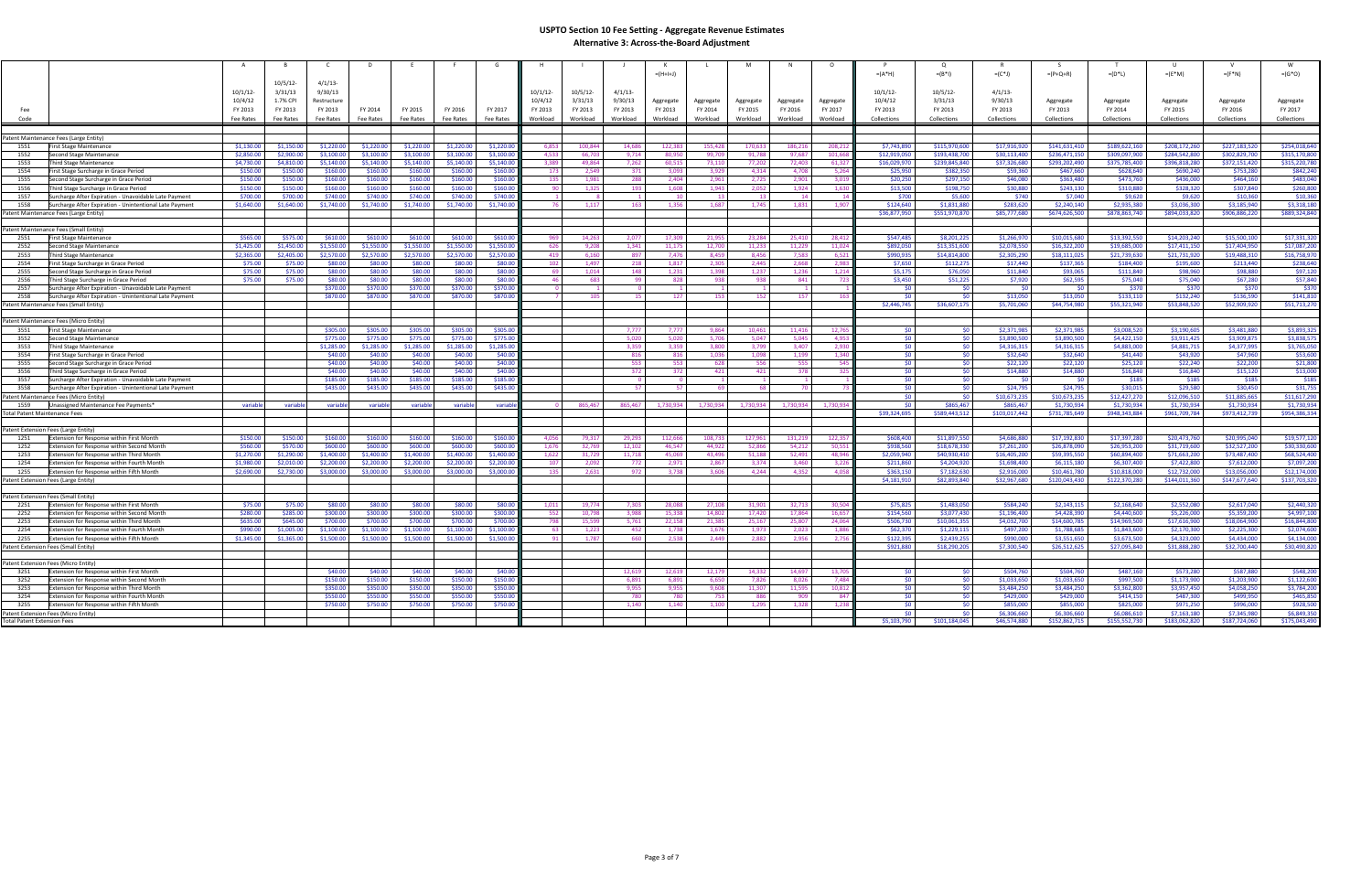|                                      |                                                                                                |                    |                    |                     |                    |                    |                    |                    |                 |                |                 | $= (H+H+J)$    |                |                |                |               | $=(A^*H)$              | $=(B^*1)$             | $=(C^*J)$                  | $=(P+Q+R)$                   | $=(D^*L)$                    | $=(E^*M)$                    | $=(F^*N)$                    | $=(G^*O)$                   |
|--------------------------------------|------------------------------------------------------------------------------------------------|--------------------|--------------------|---------------------|--------------------|--------------------|--------------------|--------------------|-----------------|----------------|-----------------|----------------|----------------|----------------|----------------|---------------|------------------------|-----------------------|----------------------------|------------------------------|------------------------------|------------------------------|------------------------------|-----------------------------|
|                                      |                                                                                                |                    | $10/5/12$ -        | $4/1/13$ -          |                    |                    |                    |                    |                 |                |                 |                |                |                |                |               |                        |                       |                            |                              |                              |                              |                              |                             |
|                                      |                                                                                                | 10/1/12            | 3/31/13            | 9/30/13             |                    |                    |                    |                    | 10/1/12         | $10/5/12$ -    | $4/1/13$ -      |                |                |                |                |               | $10/1/12$ -            | 10/5/12               | $4/1/13$ -                 |                              |                              |                              |                              |                             |
|                                      |                                                                                                | 10/4/12            | 1.7% CPI           | Restructure         |                    |                    |                    |                    | 10/4/12         | 3/31/13        | 9/30/13         | Aggregate      | Aggregate      | Aggregate      | Aggregate      | Aggregate     | 10/4/12                | 3/31/13               | 9/30/13                    | Aggregate                    | Aggregate                    | Aggregate                    | Aggregate                    | Aggregate                   |
| Fee                                  |                                                                                                | FY 2013            | FY 2013            | FY 2013             | FY 2014            | FY 2015            | FY 2016            | FY 2017            | FY 2013         | FY 2013        | FY 2013         | FY 2013        | FY 2014        | FY 2015        | FY 2016        | FY 2017       | FY 2013                | FY 2013               | FY 2013                    | FY 2013                      | FY 2014                      | FY 2015                      | FY 2016                      | FY 2017                     |
| Code                                 |                                                                                                | Fee Rates          | Fee Rates          | Fee Rates           | Fee Rates          | Fee Rates          | Fee Rates          | Fee Rates          | Workload        | Workload       | Workload        | Workload       | Workload       | Workload       | Workload       | Workload      | Collections            | Collections           | Collections                | Collections                  | Collections                  | Collections                  | Collections                  | Collections                 |
|                                      |                                                                                                |                    |                    |                     |                    |                    |                    |                    |                 |                |                 |                |                |                |                |               |                        |                       |                            |                              |                              |                              |                              |                             |
|                                      | Patent Maintenance Fees (Large Entity)                                                         |                    |                    |                     |                    |                    |                    |                    |                 |                |                 |                |                |                |                |               |                        |                       |                            |                              |                              |                              |                              |                             |
| 1551                                 | First Stage Maintenance                                                                        | \$1,130,00         | \$1,150.00         | \$1,220.00          | \$1,220.00         | \$1,220.00         | \$1,220.00         | \$1,220.00         | 6.853           | 100.844        | 14.686          | 122,383        | 155.428        | 170.633        | 186,216        | 208 21        | \$7,743,890            | \$115,970,600         | \$17,916,920               | \$141,631,410                | \$189,622,160                | \$208,172,260                | \$227,183,520                | \$254,018,640               |
| 1552                                 | Second Stage Maintenance                                                                       | \$2,850.00         | \$2,900.00         | \$3,100.00          | \$3,100.00         | \$3,100.00         | \$3,100.00         | \$3,100.00         | 4,533           | 66.703         | 9,714           | 80,950         | 99.709         | 91,788         | 97,687         | 101.66        | \$12,919,050           | \$193,438,700         | \$30,113,400               | \$236,471,150                | \$309,097,900                | \$284,542,800                | \$302,829,700                | \$315,170,800               |
| 1553                                 | Third Stage Maintenance                                                                        | \$4,730.00         | \$4,810.00         | \$5,140.00          | \$5,140.00         | \$5,140.00         | \$5,140.00         | \$5,140.00         | 3,389           | 49,864         | 7,262           | 60,515         | 73,110         | 77,202         | 72,403         | 61,327        | \$16,029,970           | \$239,845,840         | \$37,326,680               | \$293,202,490                | \$375,785,400                | \$396,818,280                | \$372,151,420                | \$315,220,780               |
| 1554                                 | First Stage Surcharge in Grace Period                                                          | \$150.00           | \$150.00           | \$160.00            | \$160.00           | \$160.00           | \$160.00           | \$160.00           | 173             | 2,549          | 371             | 3.093          | 3,929          | 4.314          | 4.708          | 5,264         | \$25,950               | \$382.350             | \$59,360                   | \$467,660                    | \$628,640                    | \$690,240                    | \$753,280                    | \$842,240                   |
| 1555                                 | Second Stage Surcharge in Grace Period                                                         | \$150.00           | \$150.00           | \$160.00            | \$160.00           | \$160.00           | \$160.00           | \$160.00           | 135             | 1,981          | 288             | 2,404          | 2,961          | 2,725          | 2,901          | 3,019         | \$20,250               | \$297,150             | \$46,080                   | \$363,480                    | \$473,760                    | \$436,000                    | \$464,160                    | \$483,040                   |
| 1556                                 | Third Stage Surcharge in Grace Period                                                          | \$150.00           | \$150.00           | \$160.00            | \$160.00           | \$160.00           | \$160.00           | \$160.00           | <b>AO</b>       | 1.325          | 193             | 1.608          | 1.943          | 2.052          | 1.924          | 1.63          | \$13,500               | \$198,750             | \$30,880                   | \$243,130                    | \$310,880                    | \$328,320                    | \$307,840                    | \$260,800                   |
| 1557                                 | Surcharge After Expiration - Unavoidable Late Payment                                          | \$700.00           | \$700.00           | \$740.00            | \$740.00           | \$740.00           | \$740.00           | \$740.00           |                 |                |                 | 10             |                | -13            | 14             |               | \$700                  | \$5,600               | \$740                      | \$7,040                      | \$9,620                      | \$9,620                      | \$10,360                     | \$10,360                    |
| 1558                                 | Surcharge After Expiration - Unintentional Late Payment                                        | \$1,640.00         | \$1,640.00         | \$1,740.00          | \$1,740.00         | \$1,740.00         | \$1,740.00         | \$1,740.00         |                 | 1,117          | 163             | 1,356          | 1,687          | 1,745          | 1,831          | 1,907         | \$124,640              | \$1,831,880           | \$283,620                  | \$2,240,140                  | \$2,935,380                  | \$3,036,300                  | \$3,185,940                  | \$3,318,180                 |
|                                      | Patent Maintenance Fees (Large Entity)                                                         |                    |                    |                     |                    |                    |                    |                    |                 |                |                 |                |                |                |                |               | \$36,877,950           | \$551,970,870         | \$85,777,680               | \$674,626,500                | \$878,863,740                | \$894.033.820                | \$906,886,220                | \$889.324.840               |
|                                      |                                                                                                |                    |                    |                     |                    |                    |                    |                    |                 |                |                 |                |                |                |                |               |                        |                       |                            |                              |                              |                              |                              |                             |
|                                      | Patent Maintenance Fees (Small Entity)                                                         |                    |                    |                     |                    |                    |                    |                    |                 |                |                 |                |                |                |                |               |                        |                       |                            |                              |                              |                              |                              |                             |
| 2551                                 | First Stage Maintenance                                                                        | \$565.00           | \$575.00           | \$610.00            | \$610.00           | \$610.00           | \$610.00           | \$610.00           | 969             | 14.263         | 2.077           | 17309          | 21.955         | 23,284         | 25.410         | 28.412        | \$547,485              | \$8,201,225           | \$1,266,970                | \$10.015.680                 | \$13,392,550                 | \$14,203,240                 | \$15,500,100                 | \$17,331,320                |
| 2552                                 | Second Stage Maintenance                                                                       | \$1,425.00         | \$1,450.00         | \$1,550.00          | \$1,550.00         | \$1,550.00         | \$1,550.00         | \$1,550.00         | 626             | 9,208          | 1,341           | 11,175         | 12,700         | 11,233         | 11,229         | 11,02         | \$892.050              | \$13,351,600          | \$2,078,550                | \$16,322,200                 | \$19,685,000                 | \$17,411,150                 | \$17,404,950                 | \$17,087,200                |
| 2553                                 | Third Stage Maintenance                                                                        | \$2,365.00         | \$2,405.00         | \$2,570.00          | \$2,570.00         | \$2,570.00         | \$2,570.00         | \$2,570.00         | 419             | 6,160          | 897             | 7.476          | 8,459          | 8,456          | 7.583          | 6,521         | \$990.935              | \$14,814,800          | \$2,305,290                | \$18,111,025                 | \$21,739,630                 | \$21,731,920                 | \$19,488,310                 | \$16,758,970                |
| 2554<br>2555                         | First Stage Surcharge in Grace Period                                                          | \$75.00<br>\$75.00 | \$75.00<br>\$75.00 | \$80.00<br>\$80,00  | \$80.00<br>\$80.00 | \$80.00<br>\$80.00 | \$80.00<br>\$80.00 | \$80.00<br>\$80.00 | 102<br>69       | 1,497<br>1.014 | 218<br>148      | 1,817<br>1.231 | 2,305<br>1.398 | 2,445<br>1.237 | 2,668<br>1.236 | 2,983<br>1.21 | \$7,650<br>\$5.175     | \$112,275<br>\$76,050 | \$17,440<br>\$11,840       | \$137,365<br>\$93.065        | \$184,400<br>\$111,840       | \$195,600<br>\$98,960        | \$213,440<br>\$98,880        | \$238,640                   |
|                                      | Second Stage Surcharge in Grace Period                                                         | \$75.00            | \$75.00            |                     | \$80.00            | \$80.00            | \$80.00            | \$80.00            | $\overline{AB}$ | 683            | 99              | 828            | 938            | 938            | 841            | - 72          | \$3,450                | \$51,225              | \$7,920                    | \$62,595                     | \$75,040                     | \$75,040                     | \$67,280                     | \$97,120<br>\$57,840        |
| 2556<br>2557                         | Third Stage Surcharge in Grace Period<br>Surcharge After Expiration - Unavoidable Late Payment |                    |                    | \$80.00<br>\$370.00 | \$370.00           | \$370.00           | \$370.00           | \$370.00           |                 |                | $\overline{0}$  |                |                |                |                |               | SO <sub>2</sub>        | -SC                   | \$0                        | \$0                          | \$370                        | \$370                        | \$370                        | \$370                       |
| 2558                                 | Surcharge After Expiration - Unintentional Late Payment                                        |                    |                    | \$870.00            | \$870.00           | \$870.00           | \$870.00           | \$870.00           |                 | 105            | 15 <sup>1</sup> | 127            | 153            | 152            | 157            | - 16          | - \$0                  | - sr                  | \$13,050                   | \$13,050                     | \$133,110                    | \$132,240                    | \$136,590                    | \$141,810                   |
|                                      | Patent Maintenance Fees (Small Entity)                                                         |                    |                    |                     |                    |                    |                    |                    |                 |                |                 |                |                |                |                |               | \$2,446,745            | \$36,607.175          | \$5,701,060                | \$44.754.980                 | \$55,321,940                 | \$53,848,520                 | \$52,909.920                 | \$51,713,270                |
|                                      |                                                                                                |                    |                    |                     |                    |                    |                    |                    |                 |                |                 |                |                |                |                |               |                        |                       |                            |                              |                              |                              |                              |                             |
|                                      | Patent Maintenance Fees (Micro Entity)                                                         |                    |                    |                     |                    |                    |                    |                    |                 |                |                 |                |                |                |                |               |                        |                       |                            |                              |                              |                              |                              |                             |
| 3551                                 | First Stage Maintenance                                                                        |                    |                    | \$305.00            | \$305.00           | \$305.00           | \$305.00           | \$305.00           |                 |                | 7,777           | 7,777          | 9,864          | 10,461         | 11,416         | 12,76         | 50 <sup>1</sup>        | <b>SO</b>             | \$2,371,985                | \$2,371,985                  | \$3,008,520                  | \$3,190,605                  | \$3,481,880                  | \$3,893,325                 |
| 3552                                 | Second Stage Maintenance                                                                       |                    |                    | \$775.00            | \$775.00           | \$775.00           | \$775.00           | \$775.00           |                 |                | 5020            | 5.020          | 5.706          | 5.047          | 5.045          | 4.95          | -SO                    | $\mathsf{S}0$         | \$3,890,500                | \$3,890,500                  | \$4,422,150                  | \$3,911,425                  | \$3,909,875                  | \$3.838.57                  |
| 3553                                 | Third Stage Maintenance                                                                        |                    |                    | \$1,285.00          | \$1,285.00         | \$1,285.00         | \$1,285.00         | \$1,285.00         |                 |                | 3,359           | 3,359          | 3,800          | 3,799          | 3,407          | 2,930         | 50 <sup>1</sup>        | $\mathsf{S}0$         | \$4,316,315                | \$4,316,315                  | \$4,883,000                  | \$4,881,71                   | \$4,377,995                  | \$3,765,050                 |
| 3554                                 | First Stage Surcharge in Grace Period                                                          |                    |                    | \$40.00             | \$40.00            | \$40.00            | \$40.00            | \$40.00            |                 |                | 816             | 816            | 1.036          | 1.098          | 1.199          | 1.34          | \$0\$                  | 50                    | \$32,640                   | \$32,640                     | \$41,440                     | \$43,920                     | \$47,960                     | \$53,600                    |
| 3555                                 | Second Stage Surcharge in Grace Period                                                         |                    |                    | \$40.00             | \$40.00            | \$40.00            | \$40.00            | 540.0              |                 |                | 553             | 553            | 628            | 556            | 555            | -54           | SO I                   | \$0                   | \$22,120                   | \$22,120                     | \$25,120                     | \$22,240                     | \$22,200                     | \$21,800                    |
| 3556                                 | Third Stage Surcharge in Grace Period                                                          |                    |                    | \$40.00             | \$40.00            | \$40.00            | \$40.00            | \$40.00            |                 |                | 372             | 372            | 421            | 421            | 378            |               | \$0                    | $\mathsf{S}0$         | \$14,880                   | \$14,880                     | \$16,840                     | \$16,840                     | \$15,120                     | \$13,000                    |
| 3557                                 | Surcharge After Expiration - Unavoidable Late Payment                                          |                    |                    | \$185.00            | \$185.00           | \$185.00           | \$185.00           | \$185.00           |                 |                | . വ             | - 0            |                | $\mathbf{1}$   |                |               | \$0                    | $\mathsf{S}0$         | SO.                        | \$0                          | \$185                        | \$185                        | \$185                        | \$185                       |
| 3558                                 | Surcharge After Expiration - Unintentional Late Payment                                        |                    |                    | \$435.00            | \$435.00           | \$435.00           | \$435.00           | \$435.00           |                 |                | 57              | -57            | - 69           | 68             | 70             |               | - SO                   | <b>SO</b>             | \$24,795                   | \$24,795                     | \$30,015                     | \$29,580                     | \$30,450                     | \$31,755                    |
|                                      | Patent Maintenance Fees (Micro Entity)                                                         |                    |                    |                     |                    |                    |                    |                    |                 |                | 865 467         |                |                |                |                |               | <b>SO</b><br>sn.       | \$865,467             | \$10,673,235               | \$10.673.235                 | \$12.427.270                 | \$12.096.510                 | \$11,885.665                 | \$11,617,290                |
| 1559<br>otal Patent Maintenance Fees | Unassigned Maintenance Fee Payments*                                                           | variable           | variable           | variable            | variable           | variable           | variable           | variabl            |                 | 865 467        |                 | 1.730.934      | 1.730.934      | 1.730.934      | 1.730.934      | 1.730.93      | \$39,324,695           | \$589,443,512         | \$865.467<br>\$103,017,442 | \$1,730,934<br>\$731,785,649 | \$1,730.934<br>\$948,343,884 | \$1,730,934<br>\$961,709,784 | \$1,730,934<br>\$973,412,739 | \$1,730,93<br>\$954,386,334 |
|                                      |                                                                                                |                    |                    |                     |                    |                    |                    |                    |                 |                |                 |                |                |                |                |               |                        |                       |                            |                              |                              |                              |                              |                             |
|                                      | Patent Extension Fees (Large Entity)                                                           |                    |                    |                     |                    |                    |                    |                    |                 |                |                 |                |                |                |                |               |                        |                       |                            |                              |                              |                              |                              |                             |
| 1251                                 | Extension for Response within First Month                                                      | \$150.00           | \$150.00           | \$160.00            | \$160.00           | \$160.00           | \$160.00           | \$160.00           | 4.05            | 79 317         | 29.293          | 112.666        | 108,733        | 127.961        | 131.219        | 122.35        | \$608,400              | \$11,897.550          | \$4,686,88                 | \$17.192.830                 | \$17,397,280                 | \$20,473,760                 | \$20,995,040                 | \$19,577,120                |
| 1252                                 | Extension for Response within Second Month                                                     | \$560.00           | \$570.00           | \$600.00            | \$600.00           | \$600.00           | \$600.00           | \$600.0            | 1.67            | 32.769         | 12,102          | 46.547         | 44.922         | 52,866         | 54.212         | 50.55         | \$938,560              | \$18,678,330          | \$7,261,200                | \$26,878,090                 | \$26,953,200                 | \$31,719,600                 | \$32,527,200                 | \$30,330,600                |
| 1253                                 | Extension for Response within Third Month                                                      | \$1,270.00         | \$1,290.00         | \$1,400.00          | \$1,400.00         | \$1,400.00         | \$1,400.00         | \$1,400.00         | 1,622           | 31,729         | 11,718          | 45,069         | 43,496         | 51,188         | 52,491         | 48,94         | \$2,059,940            | \$40,930,410          | \$16,405,200               | \$59,395,550                 | \$60,894,400                 | \$71,663,200                 | \$73,487,400                 | \$68,524,400                |
| 1254                                 | Extension for Response within Fourth Month                                                     | \$1,980.00         | \$2,010.00         | \$2,200.00          | \$2,200.00         | \$2,200.00         | 52,200,00          | \$2,200.00         | 107             | 2.092          | 772             | 2.971          | 2.867          | 3.374          | 3.460          | 3.22          | \$211.860              | \$4,204,920           | \$1,698,400                | \$6,115,180                  | \$6,307,400                  | \$7,422,800                  | \$7,612,000                  | \$7,097,200                 |
| 1255                                 | Extension for Response within Fifth Month                                                      | \$2,690.00         | \$2,730.00         | \$3,000.00          | \$3,000.00         | \$3,000.00         | \$3,000.00         | \$3,000.00         | 135             | 2,631          | 972             | 3,738          | 3,606          | 4,244          | 4.352          | 4,058         | \$363,150              | \$7,182,630           | \$2,916,000                | \$10,461,780                 | \$10,818,000                 | \$12,732,000                 | \$13,056,000                 | \$12,174,000                |
|                                      | Patent Extension Fees (Large Entity)                                                           |                    |                    |                     |                    |                    |                    |                    |                 |                |                 |                |                |                |                |               | \$4,181,910            | \$82,893,840          | \$32,967,680               | \$120,043,430                | \$122,370,280                | \$144,011,360                | \$147,677,640                | \$137,703,320               |
|                                      |                                                                                                |                    |                    |                     |                    |                    |                    |                    |                 |                |                 |                |                |                |                |               |                        |                       |                            |                              |                              |                              |                              |                             |
|                                      | Patent Extension Fees (Small Entity)                                                           |                    |                    |                     |                    |                    |                    |                    |                 |                |                 |                |                |                |                |               |                        |                       |                            |                              |                              |                              |                              |                             |
| 2251                                 | Extension for Response within First Month                                                      | \$75.00            | \$75.00            | \$80.00             | \$80.00            | \$80.00            | \$80.00            | \$80.00            | 1.011           | 19774          | 7.303           | 28.088         | 27 108         | 31,901         | 32,713         | 30.504        | \$75,825               | \$1,483,050           | \$584.240                  | \$2,143,115                  | \$2,168,640                  | \$2,552,080                  | \$2,617,040                  | \$2,440,320                 |
| 2252                                 | Extension for Response within Second Month                                                     | \$280.00           | \$285.00           | \$300.00            | \$300.00           | \$300.00           | \$300.00           | \$300.00           | 552             | 10,798         | 3,988           | 15,338         | 14,802         | 17,420         | 17,864         | 16,657        | \$154,560              | \$3,077,430           | \$1,196,400                | \$4,428,390                  | \$4,440,600                  | \$5,226,000                  | \$5,359,200                  | \$4,997,100                 |
| 2253                                 | Extension for Response within Third Month                                                      | \$635.00           | \$645.00           | \$700.00            | \$700.00           | \$700.00           | \$700.00           | \$700.00           | 798             | 15.599         | 5.761           | 22.158         | 21.385         | 25,167         | 25.807         | 24.06         | \$506,730              | \$10,061,355          | \$4,032,700                | \$14,600,785                 | \$14,969,500                 | \$17,616,900                 | \$18,064,900                 | \$16,844,800                |
| 2254                                 | Extension for Response within Fourth Month                                                     | \$990.00           | \$1,005.00         | \$1,100.00          | \$1,100.00         | \$1,100.00         | \$1,100.00         | \$1,100.00         | -63             | 1.223          | 452             | 1.738          | 1.676          | 1.973          | 2.023          | 1.88          | \$62,370               | \$1,229,115           | \$497,200                  | \$1,788,685                  | \$1,843,600                  | \$2,170,300                  | \$2,225,300                  | \$2,074,600                 |
| 2255                                 | Extension for Response within Fifth Month                                                      | \$1,345.00         | \$1,365.00         | \$1,500.00          | \$1,500.00         | \$1,500.00         | \$1,500.00         | \$1,500.00         |                 | 1,787          | 660             | 2,538          | 2,449          | 2,882          | 2,956          | 2,75          | \$122,395<br>\$921.880 | \$2,439,255           | \$990,000                  | \$3,551,650<br>\$26.512.625  | \$3,673,500<br>\$27,095,840  | \$4,323,000<br>\$31,888,280  | \$4,434,000                  | \$4,134,000<br>\$30,490,820 |
|                                      | Patent Extension Fees (Small Entity)                                                           |                    |                    |                     |                    |                    |                    |                    |                 |                |                 |                |                |                |                |               |                        | \$18,290,205          | \$7,300,540                |                              |                              |                              | \$32,700,440                 |                             |
|                                      | Patent Extension Fees (Micro Entity)                                                           |                    |                    |                     |                    |                    |                    |                    |                 |                |                 |                |                |                |                |               |                        |                       |                            |                              |                              |                              |                              |                             |
| 3251                                 | Extension for Response within First Month                                                      |                    |                    | \$40.00             | 540.00             | 540.00             | \$40.00            | \$40.0             |                 |                | 12.619          | 12.619         | 12 179         | 14332          | 14.697         | 13,70         | - \$0                  | - \$0                 | \$504,760                  | \$504,760                    | \$487,160                    | \$573,280                    | \$587,880                    | \$548,200                   |
| 3252                                 | Extension for Response within Second Month                                                     |                    |                    | \$150.00            | \$150.00           | \$150.00           | \$150.00           | \$150.00           |                 |                | 6,891           | 6,891          | 6,650          | 7,826          | 8,026          | 7,48          | SO <sub>2</sub>        | $\mathsf{S}0$         | \$1,033,650                | \$1,033,650                  | \$997,500                    | \$1,173,900                  | \$1,203,900                  | \$1,122,60                  |
| 3253                                 | Extension for Response within Third Month                                                      |                    |                    | \$350.00            | \$350.00           | \$350.00           | \$350.00           | \$350.00           |                 |                | 9.955           | 9.955          | 9.608          | 11.307         | 11.595         | 10.81         | -SO                    | - \$0                 | \$3,484,250                | \$3,484,250                  | \$3,362,800                  | \$3,957,450                  | \$4,058,250                  | \$3,784,200                 |
| 3254                                 | Extension for Response within Fourth Month                                                     |                    |                    | \$550.00            | \$550.00           | \$550.00           | \$550.00           | \$550.00           |                 |                | 780             | 780            | 753            | 886            | <b>909</b>     | -84           | \$0                    | -SC                   | \$429,000                  | \$429,000                    | \$414,150                    | \$487,300                    | \$499,950                    | \$465,850                   |
| 3255                                 | Extension for Response within Fifth Month                                                      |                    |                    | \$750.00            | \$750.00           | \$750.00           | \$750.00           | \$750.00           |                 |                | 1 1 4 0         | 1.140          | 1,100          | 1.295          | 1328           | 1.23          | <b>SO</b>              | <b>SO</b>             | \$855,000                  | \$855,000                    | \$825,000                    | \$971,250                    | \$996,000                    | \$928,500                   |
|                                      | Patent Extension Fees (Micro Entity)                                                           |                    |                    |                     |                    |                    |                    |                    |                 |                |                 |                |                |                |                |               | -SO                    | -50                   | \$6,306,660                | \$6,306,660                  | \$6,086,610                  | \$7,163,180                  | \$7,345,980                  | \$6,849,350                 |
| <b>Total Patent Extension Fees</b>   |                                                                                                |                    |                    |                     |                    |                    |                    |                    |                 |                |                 |                |                |                |                |               | \$5,103,790            | \$101,184,045         | \$46,574,880               | \$152,862,715                | \$155.552.730                | \$183.062.820                | \$187,724,060                | \$175,043,490               |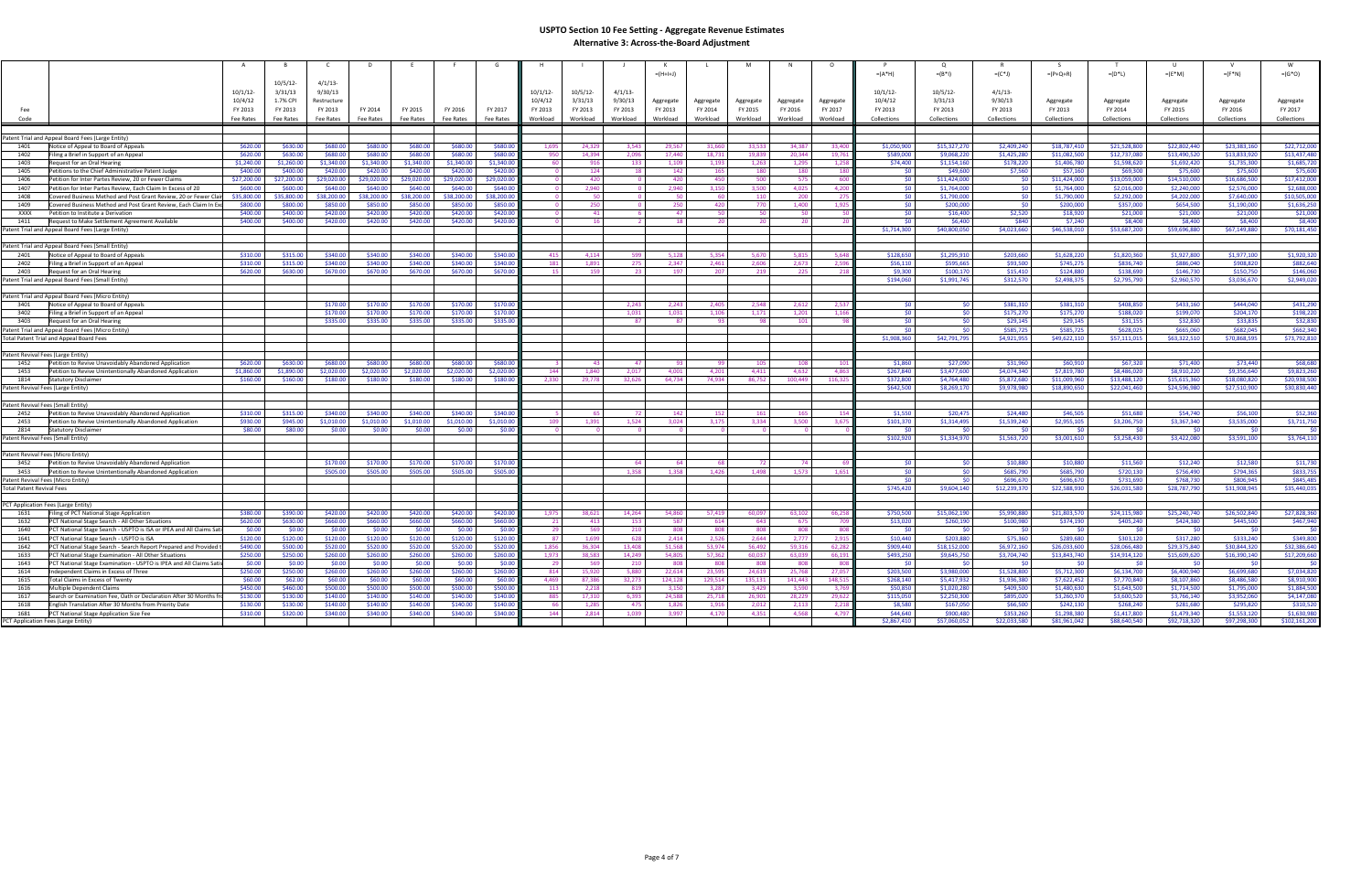|                                                                 |                                                                                            |             |             |             |             |             |             |          |             |                         | $= (H + H)$  |           |           |           |              | $=(A^*H)$          | $=(B^*1)$     | $=(C^*J)$                | $=(P+Q+R)$                | $=(D^*L)$              | $=(E^*M)$                 | $=(F^*N)$                 | $=(G^*O)$                 |
|-----------------------------------------------------------------|--------------------------------------------------------------------------------------------|-------------|-------------|-------------|-------------|-------------|-------------|----------|-------------|-------------------------|--------------|-----------|-----------|-----------|--------------|--------------------|---------------|--------------------------|---------------------------|------------------------|---------------------------|---------------------------|---------------------------|
|                                                                 |                                                                                            | $10/5/12$ - | $4/1/13$ -  |             |             |             |             |          |             |                         |              |           |           |           |              |                    |               |                          |                           |                        |                           |                           |                           |
|                                                                 | 10/1/12                                                                                    | 3/31/13     | 9/30/13     |             |             |             |             | 10/1/12  | $10/5/12$ - | $4/1/13$ -              |              |           |           |           |              | $10/1/12$ -        | 10/5/12       | $4/1/13$ -               |                           |                        |                           |                           |                           |
|                                                                 | 10/4/12                                                                                    | 1.7% CPI    | Restructure |             |             |             |             | 10/4/12  | 3/31/13     | 9/30/13                 | Aggregate    | Aggregate | Aggregate | Aggregate | Aggregate    | 10/4/12            | 3/31/13       | 9/30/13                  | Aggregate                 | Aggregate              | Aggregate                 | Aggregate                 | Aggregate                 |
| Fee                                                             | FY 2013                                                                                    | FY 2013     | FY 2013     | FY 2014     | FY 2015     | FY 2016     | FY 2017     | FY 2013  | FY 2013     | FY 2013                 | FY 2013      | FY 2014   | FY 2015   | FY 2016   | FY 2017      | FY 2013            | FY 2013       | FY 2013                  | FY 2013                   | FY 2014                | FY 2015                   | FY 2016                   | FY 2017                   |
| Code                                                            | Fee Rates                                                                                  | Fee Rates   | Fee Rates   | Fee Rates   | Fee Rates   | Fee Rates   | Fee Rates   | Workload | Workload    | Workload                | Workload     | Workload  | Workload  | Workload  | Workload     | Collections        | Collections   | Collections              | Collections               | Collections            | Collections               | Collections               | Collections               |
|                                                                 |                                                                                            |             |             |             |             |             |             |          |             |                         |              |           |           |           |              |                    |               |                          |                           |                        |                           |                           |                           |
|                                                                 | Patent Trial and Appeal Board Fees (Large Entity)                                          |             |             |             |             |             |             |          |             |                         |              |           |           |           |              |                    |               |                          |                           |                        |                           |                           |                           |
| 1401                                                            | \$620.00                                                                                   | \$630.00    | \$680.00    | \$680.00    | \$680.00    | \$680,00    | \$680.0     | 1.69     | 24.329      | 3.543                   | 29.567       | 31,660    | 33,533    | 34.387    | 33.40        | \$1,050,900        | \$15,327,270  | \$2,409,240              | \$18,787,410              | \$21,528,800           | \$22,802,440              | \$23,383,160              | \$22,712,000              |
| 1402                                                            | Notice of Appeal to Board of Appeals<br>\$620.00<br>Filing a Brief in Support of an Appeal | \$630.00    | \$680.00    | \$680.00    | \$680.00    | \$680.00    | \$680.00    | -950     | 14,394      | 2,096                   | 17,440       | 18.731    | 19,839    | 20,344    | 19.76        | \$589,000          | \$9,068,220   | \$1,425,280              | \$11,082,500              | \$12,737,080           | \$13,490,520              | \$13,833,920              | \$13,437,480              |
| 1403                                                            | \$1,240.00<br>Request for an Oral Hearing                                                  | \$1,260.00  | \$1,340.00  | \$1,340.00  | \$1,340.00  | \$1,340.00  | \$1,340.00  | -60      | 916         | 133                     | 1,109        | 1,193     | 1,263     | 1,295     | 1,258        | \$74,400           | \$1,154,160   | \$178,220                | \$1,406,780               | \$1,598,620            | \$1,692,420               | \$1,735,300               | \$1,685,720               |
| 1405                                                            | 540000<br>Petitions to the Chief Administrative Patent Judge                               | \$400.00    | \$420.00    | \$420.00    | \$420.00    | \$420.00    | \$420.00    |          | 124         | 18                      | 142          | 165       | 180       | 180       | 18           | - \$0              | \$49,600      | \$7,560                  | \$57,160                  | \$69,300               | \$75,600                  | \$75,600                  | \$75,600                  |
| 1406                                                            | \$27,200.00<br>Petition for Inter Partes Review, 20 or Fewer Claims                        | \$27,200.00 | \$29,020.00 | \$29,020.00 | \$29,020.00 | \$29,020.00 | \$29,020.00 |          | 420         | $\Omega$                | 420          | 450       | 500       | 575       | - 60         | 50 <sup>1</sup>    | \$11,424,000  | \$0                      | \$11,424,000              | \$13,059,000           | \$14,510,000              | \$16,686,500              | \$17,412,000              |
| 1407                                                            | \$600.00<br>Petition for Inter Partes Review, Each Claim In Excess of 20                   | \$600.00    | \$640.00    | \$640.00    | \$640.00    | \$640.00    | \$640.0     |          | 2.940       | $\Omega$                | 2.940        | 3,150     | 3,500     | 4.025     | 4.20         | \$0                | \$1,764,000   | \$0                      | \$1,764,000               | \$2,016,000            | \$2,240,000               | \$2,576,000               | \$2,688,000               |
| 1408                                                            | Covered Business Method and Post Grant Review, 20 or Fewer Clair<br>\$35,800.00            | \$35,800.00 | \$38,200.00 | \$38,200.00 | 38,200.00   | \$38,200.00 | \$38,200.00 |          | 50          | $\Omega$                | 50           | -60       | 110       | 200       |              | -SO                | \$1,790,000   | \$0                      | \$1,790,000               | \$2,292,000            | \$4,202,000               | \$7,640,000               | \$10,505,000              |
| 1409                                                            | Covered Business Method and Post Grant Review, Each Claim In Exc<br>\$800.00               | \$800.00    | \$850.00    | \$850.00    | \$850.00    | \$850.00    | \$850.00    |          | 250         | $\overline{0}$          | 250          | 420       | 770       | 1,400     | 1,92         | \$0.               | \$200,000     | \$0                      | \$200,000                 | \$357,000              | \$654,500                 | \$1,190,000               | \$1,636,250               |
| <b>XXXX</b>                                                     | 540000<br>Petition to Institute a Derivation                                               | 5400.00     | \$420.00    | \$420.00    | \$420.00    | \$420,00    | 54200       |          | $\Delta$ 1  | -6                      | 47           | -50       | -50       | -50       |              | -SO                | \$16,400      | \$2,520                  | \$18,920                  | \$21,000               | \$21,000                  | \$21,000                  | \$21,000                  |
| 1411                                                            | \$400.00<br>Request to Make Settlement Agreement Available                                 | \$400.00    | \$420.00    | \$420.00    | \$420.00    | \$420.00    | \$420.00    |          | 16          | $\overline{2}$          | <b>18</b>    | - 20      | 20        | 20        |              | - SO 1             | \$6,400       | \$840                    | \$7,240                   | \$8,400                | \$8,400                   | \$8,400                   | \$8,400                   |
|                                                                 | Patent Trial and Appeal Board Fees (Large Entity)                                          |             |             |             |             |             |             |          |             |                         |              |           |           |           |              | \$1,714,300        | \$40,800,050  | \$4,023,660              | \$46,538,010              | \$53,687,200           | \$59,696,880              | \$67,149,880              | \$70,181,450              |
|                                                                 |                                                                                            |             |             |             |             |             |             |          |             |                         |              |           |           |           |              |                    |               |                          |                           |                        |                           |                           |                           |
|                                                                 | Patent Trial and Appeal Board Fees (Small Entity)                                          |             |             |             |             |             |             |          |             |                         |              |           |           |           |              |                    |               |                          |                           |                        |                           |                           |                           |
| 2401                                                            | Notice of Appeal to Board of Appeals<br>\$310.00                                           | \$315.00    | \$340.00    | \$340.00    | \$340.00    | \$340.00    | \$340.00    | -415     | 4.114       | 599                     | 5.128        | 5.354     | 5.670     | 5.815     | 5.648        | \$128,650          | \$1,295,910   | \$203,660                | \$1,628,220               | \$1,820,360            | \$1,927,800               | \$1,977,100               | \$1,920,320               |
| 2402                                                            | \$310.00<br>Filing a Brief in Support of an Appeal                                         | \$315.00    | \$340.00    | \$340.00    | \$340.00    | \$340.00    | \$340.00    | 181      | 1,891       | 275                     | 2,347        | 2,461     | 2,606     | 2,673     | 2,596        | \$56,110           | \$595,665     | \$93,500                 | \$745,275                 | \$836,740              | \$886,040                 | \$908,820                 | \$882,640                 |
| 2403                                                            | \$620.00<br>Request for an Oral Hearing                                                    | \$630.00    | \$670.00    | \$670.00    | \$670.00    | \$670.00    | \$670.00    |          | 159         | 23                      | 197          | 207       | 219       | 225       | 21           | \$9,300            | \$100.170     | \$15,410                 | \$124,880                 | \$138,690              | \$146.730                 | \$150,750                 | \$146,060                 |
|                                                                 | Patent Trial and Appeal Board Fees (Small Entity                                           |             |             |             |             |             |             |          |             |                         |              |           |           |           |              | \$194,060          | \$1,991,745   | \$312,570                | \$2,498,375               | \$2,795,790            | \$2,960,570               | \$3,036,670               | \$2,949,020               |
|                                                                 |                                                                                            |             |             |             |             |             |             |          |             |                         |              |           |           |           |              |                    |               |                          |                           |                        |                           |                           |                           |
|                                                                 | Patent Trial and Appeal Board Fees (Micro Entity)                                          |             |             |             |             |             |             |          |             |                         |              |           |           |           |              |                    |               |                          |                           |                        |                           |                           |                           |
| 3401                                                            | Notice of Appeal to Board of Appeals                                                       |             | \$170.00    | \$170.00    | \$170.00    | \$170.00    | \$170.00    |          |             | 2.243                   | 2.243        | 2.405     | 2.548     | 2.612     | 2.53         | -SO                | -SC           | \$381.310                | \$381.310                 | \$408,850              | \$433,160                 | \$444,040                 | \$431.290                 |
| 3402                                                            | Filing a Brief in Support of an Appeal                                                     |             | \$170.00    | \$170.00    | \$170.00    | \$170.00    | \$170.00    |          |             | 1,031                   | 1,031        | 1,106     | 1,171     | 1,201     | 1.16         | \$0                | \$0           | \$175,270                | \$175,270                 | \$188,020              | \$199,070                 | \$204,170                 | \$198,22                  |
| 3403                                                            | Request for an Oral Hearing                                                                |             | \$335.00    | \$335.00    | \$335.00    | \$335.00    | \$335.00    |          |             | -87                     | - 87         | ദാ        | 98        | 101       |              | -SO<br>\$0         | - 50<br>- \$0 | \$29,145                 | \$29,145                  | \$31,155               | \$32,830                  | \$33,835                  | \$32,830                  |
|                                                                 | Patent Trial and Appeal Board Fees (Micro Entity)                                          |             |             |             |             |             |             |          |             |                         |              |           |           |           |              | \$1,908,360        |               | \$585,725<br>\$4,921,955 | \$585,725<br>\$49,622,110 | \$628,025              | \$665,060<br>\$63,322,510 | \$682,045<br>\$70,868,595 | \$662,340<br>\$73,792,810 |
|                                                                 | Total Patent Trial and Appeal Board Fees                                                   |             |             |             |             |             |             |          |             |                         |              |           |           |           |              |                    | \$42,791,795  |                          |                           | \$57,111,015           |                           |                           |                           |
| Patent Revival Fees (Large Entity)                              |                                                                                            |             |             |             |             |             |             |          |             |                         |              |           |           |           |              |                    |               |                          |                           |                        |                           |                           |                           |
| 1452                                                            | \$620.00<br>Petition to Revive Unavoidably Abandoned Application                           | \$630.00    | \$680.00    | \$680.00    | \$680.00    | \$680.00    | \$680.0     |          | -43         | 47                      | -93          | - qq      | 105       | 108       | 10           | \$1,860            | \$27,090      | \$31,960                 | \$60,910                  | \$67,320               | \$71,400                  | \$73,440                  | \$68,680                  |
| 1453                                                            | Petition to Revive Unintentionally Abandoned Application<br>\$1,860.00                     | \$1,890.00  | \$2,020.00  | \$2,020.00  | \$2,020.00  | \$2,020.00  | \$2,020.00  | 144      | 1.840       | 2,017                   | 4,001        | 4,201     | 4,411     | 4.632     | 4.86         | \$267.840          | \$3,477,600   | \$4,074,340              | \$7,819,780               | \$8,486,020            | \$8,910,220               | \$9,356,640               | \$9,823,260               |
| 1814                                                            | \$160.00<br><b>Statutory Disclaimer</b>                                                    | \$160.00    | \$180.00    | \$180.00    | \$180.00    | \$180.00    | \$180.00    | 2.330    | 29,778      | 32,626                  | 64,734       | 74.934    | 86.752    | 100 449   | 116,32       | \$372,800          | \$4,764,480   | \$5.872,680              | \$11,009.960              | \$13,488,120           | \$15,615,360              | \$18,080,820              | \$20,938,500              |
| Patent Revival Fees (Large Entity)                              |                                                                                            |             |             |             |             |             |             |          |             |                         |              |           |           |           |              | \$642,500          | \$8,269,170   | \$9,978,980              | \$18,890,650              | \$22,041,460           | \$24,596,980              | \$27,510,900              | \$30,830,440              |
|                                                                 |                                                                                            |             |             |             |             |             |             |          |             |                         |              |           |           |           |              |                    |               |                          |                           |                        |                           |                           |                           |
| Patent Revival Fees (Small Entity)                              |                                                                                            |             |             |             |             |             |             |          |             |                         |              |           |           |           |              |                    |               |                          |                           |                        |                           |                           |                           |
| 2452                                                            | Petition to Revive Unavoidably Abandoned Application<br>\$310.00                           | \$315.00    | \$340.00    | \$340.00    | \$340.00    | \$340.00    | \$340.00    |          | 65          |                         | 142          | 152       | 161       | 165       | 15           | \$1,550            | \$20,475      | \$24,480                 | \$46,505                  | \$51,680               | \$54,740                  | \$56,100                  | \$52,360                  |
| 2453                                                            | \$930.00<br>Petition to Revive Unintentionally Abandoned Application                       | \$945.00    | \$1,010.00  | \$1,010,00  | \$1,010,00  | \$1,010.00  | \$1,010.00  | 109      | 1,391       | 1,524                   | 3,024        | 3,175     | 3,334     | 3.500     | 3,675        | \$101,370          | \$1,314,495   | \$1.539.240              | \$2,955,105               | \$3,206,750            | \$3,367,340               | \$3,535,000               | \$3,711,750               |
| 2814                                                            | \$80.00<br>Statutory Disclaimer                                                            | \$80.00     | \$0.00      | \$0.00      | \$0.00      | \$0.00      | \$0.00      |          | $\Omega$    | $\overline{\mathbf{0}}$ | $\Omega$     |           | - 0       |           |              | - \$0              | - \$0         | - \$0                    | - SO                      | - \$0                  |                           | -SO                       | - \$0                     |
| Patent Revival Fees (Small Entity)                              |                                                                                            |             |             |             |             |             |             |          |             |                         |              |           |           |           |              | \$102.920          | \$1.334.970   | \$1,563,720              | \$3,001,610               | \$3,258,430            | \$3,422,080               | \$3,591,100               | \$3,764,110               |
|                                                                 |                                                                                            |             |             |             |             |             |             |          |             |                         |              |           |           |           |              |                    |               |                          |                           |                        |                           |                           |                           |
| Patent Revival Fees (Micro Entity)                              |                                                                                            |             |             |             |             |             |             |          |             |                         |              |           |           |           |              |                    |               |                          |                           |                        |                           |                           |                           |
| 3452                                                            | Petition to Revive Unavoidably Abandoned Application                                       |             | \$170.00    | \$170.00    | \$170.00    | \$170.00    | \$170.0     |          |             | 64<br>1.358             | -64<br>1.358 | -68       | - 72      | 74        |              | -SO                | -50<br>-50    | \$10,880                 | \$10,880                  | \$11,560               | \$12,240                  | \$12,580                  | \$11,730                  |
| 3453                                                            | Petition to Revive Unintentionally Abandoned Application                                   |             | \$505.00    | \$505.00    | \$505.00    | \$505.00    | \$505.00    |          |             |                         |              | 1,426     | 1,498     | 1,573     | 1,651        | - \$0<br><b>SO</b> | -sr           | \$685,790<br>\$696,670   | \$685,790<br>\$696,670    | \$720,130<br>\$731,690 | \$756,490<br>\$768,730    | \$794,365<br>\$806,945    | \$833,755<br>\$845,485    |
| Patent Revival Fees (Micro Entity)<br>Total Patent Revival Fees |                                                                                            |             |             |             |             |             |             |          |             |                         |              |           |           |           |              | \$745,420          | \$9,604,140   | \$12,239,370             | \$22,588,930              | \$26,031,580           | \$28,787,790              | \$31,908,945              | \$35,440,035              |
|                                                                 |                                                                                            |             |             |             |             |             |             |          |             |                         |              |           |           |           |              |                    |               |                          |                           |                        |                           |                           |                           |
|                                                                 | PCT Application Fees (Large Entity)                                                        |             |             |             |             |             |             |          |             |                         |              |           |           |           |              |                    |               |                          |                           |                        |                           |                           |                           |
| 1631                                                            | Filing of PCT National Stage Application<br>\$380.00                                       | \$390.00    | \$420.00    | \$420.00    | \$420.00    | \$420.00    | \$420.00    | 1.97     | 38.621      | 14,264                  | 54,860       | 57,419    | 60,097    | 63.102    | 66,258       | \$750,500          | \$15,062,190  | \$5,990,880              | \$21,803,570              | \$24,115,980           | \$25,240,740              | \$26,502,840              | \$27,828,360              |
| 1632                                                            | PCT National Stage Search - All Other Situations<br>\$620.00                               | \$630.00    | \$660.00    | \$660.00    | \$660.00    | \$660.00    | \$660.00    | 21       | 413         | 153                     | 587          | 614       | 643       | 675       | $70^{\circ}$ | \$13,020           | \$260,190     | \$100,980                | \$374,190                 | \$405,240              | \$424,380                 | \$445,500                 | \$467,940                 |
| 1640                                                            | \$0.00<br>PCT National Stage Search - USPTO is ISA or IPEA and All Claims Sati             | \$0.00      | \$0.00      | \$0.00      | \$0.00      | \$0.00      | \$0.00      | 29       | 569         | 210                     | 808          | 808       | 808       | 808       | - 80         | - \$0              | - 50          | -SO                      | \$0                       | -50                    | ี <ีก                     | \$0                       | \$0                       |
| 1641                                                            | \$120.00<br>PCT National Stage Search - USPTO is ISA                                       | \$120.00    | \$120.00    | \$120.00    | \$120.00    | \$120.00    | \$120.00    | -87      | 1,699       | 628                     | 2,414        | 2,526     | 2,644     | 2.777     | 2,91         | \$10,440           | \$203,880     | \$75,360                 | \$289,680                 | \$303,120              | \$317,280                 | \$333,240                 | \$349,800                 |
| 1642                                                            | \$490.00<br>PCT National Stage Search - Search Report Prepared and Provided t              | \$500.00    | \$520.00    | \$520.00    | \$520.00    | \$520.00    | \$520.00    | 1,856    | 36.304      | 13.408                  | 51.568       | 53.974    | 56.492    | 59.316    | 62.28        | \$909.440          | \$18,152,000  | \$6,972,160              | \$26,033,600              | \$28,066,480           | \$29.375.840              | \$30,844,320              | \$32,386,640              |
| 1633                                                            | \$250.00<br>PCT National Stage Examination - All Other Situations                          | \$250.00    | \$260.00    | \$260.00    | \$260.00    | \$260.00    | \$260.00    | 1,973    | 38,583      | 14,249                  | 54,805       | 57,362    | 60,037    | 63,039    | 66,191       | \$493,250          | \$9,645,750   | \$3,704,740              | \$13,843,740              | \$14,914,120           | \$15,609,620              | \$16,390,140              | \$17,209,660              |
| 1643                                                            | PCT National Stage Examination - USPTO is IPEA and All Claims Sati:<br>\$0.00              | \$0.00      | \$0.00      | \$0.00      | \$0.00      | \$0.00      | \$0.00      |          | 569         | 210                     | 808          | 808       | 808       | 808       | -80          |                    |               |                          |                           |                        |                           |                           |                           |
| 1614                                                            | \$250.00<br>Independent Claims in Excess of Three                                          | \$250.00    | \$260.00    | \$260.00    | \$260.00    | \$260.00    | \$260.0     | 814      | 15,920      | 5.880                   | 22,614       | 23.595    | 24,619    | 25.768    | 27.05        | \$203,500          | \$3,980,000   | \$1,528,800              | \$5,712,300               | \$6,134,700            | \$6,400,940               | \$6,699,680               | \$7,034,820               |
| 1615                                                            | \$60.00<br>Total Claims in Excess of Twenty                                                | \$62.00     | \$60.00     | \$60.00     | \$60.00     | \$60.00     | \$60.00     | 4,469    | 87,386      | 32,273                  | 124,128      | 129,514   | 135,131   | 141,443   | 148,51       | \$268,140          | \$5,417,932   | \$1,936,380              | \$7,622,452               | \$7,770,840            | \$8,107,860               | \$8,486,580               | \$8,910,900               |
| 1616                                                            | \$450.00<br>Multiple Dependent Claims                                                      | \$460.00    | \$500.00    | \$500.00    | \$500.00    | \$500.00    | \$500.00    | -113     | 2.218       | 819                     | 3.150        | 3.287     | 3,429     | 3.590     | 3.76         | \$50,850           | \$1.020.280   | \$409,500                | \$1,480,630               | \$1,643,500            | \$1,714,500               | \$1,795,000               | \$1,884,500               |
| 1617                                                            | Search or Examination Fee, Oath or Declaration After 30 Months fro<br>\$130.00             | \$130.00    | \$140.00    | \$140.00    | \$140.00    | \$140.00    | \$140.00    | 885      | 17,310      | 6,393                   | 24,588       | 25,718    | 26,901    | 28,229    | 29,622       | \$115,050          | \$2,250,300   | \$895,020                | \$3,260,370               | \$3,600,520            | \$3,766,140               | \$3,952,060               | \$4,147,080               |
| 1618                                                            | English Translation After 30 Months from Priority Date<br>\$130.00                         | \$130.00    | \$140.00    | \$140.00    | \$140.00    | \$140.00    | \$140.00    |          | 1.285       | 475                     | 1,826        | 1,916     | 2,012     | 2,113     | 2,21         | \$8,580            | \$167,050     | \$66,500                 | \$242,130                 | \$268,240              | \$281,680                 | \$295,820                 | \$310,520                 |
| 1681                                                            | \$310.00<br>PCT National Stage Application Size Fee                                        | \$320.00    | \$340.00    | \$340.00    | \$340.00    | \$340.00    | \$340.00    | 144      | 2.814       | 1.039                   | 3,997        | 4,170     | 4.351     | 4.568     | 4,797        | \$44,640           | \$900,480     | \$353,260                | \$1,298,380               | \$1,417,800            | \$1,479,340               | \$1,553,120               | \$1,630,980               |
|                                                                 | PCT Application Fees (Large Entity)                                                        |             |             |             |             |             |             |          |             |                         |              |           |           |           |              | \$2,867,410        | \$57,060,052  | \$22,033,580             | \$81,961,042              | \$88,640,540           | \$92,718,320              | \$97,298,300              | \$102,161,200             |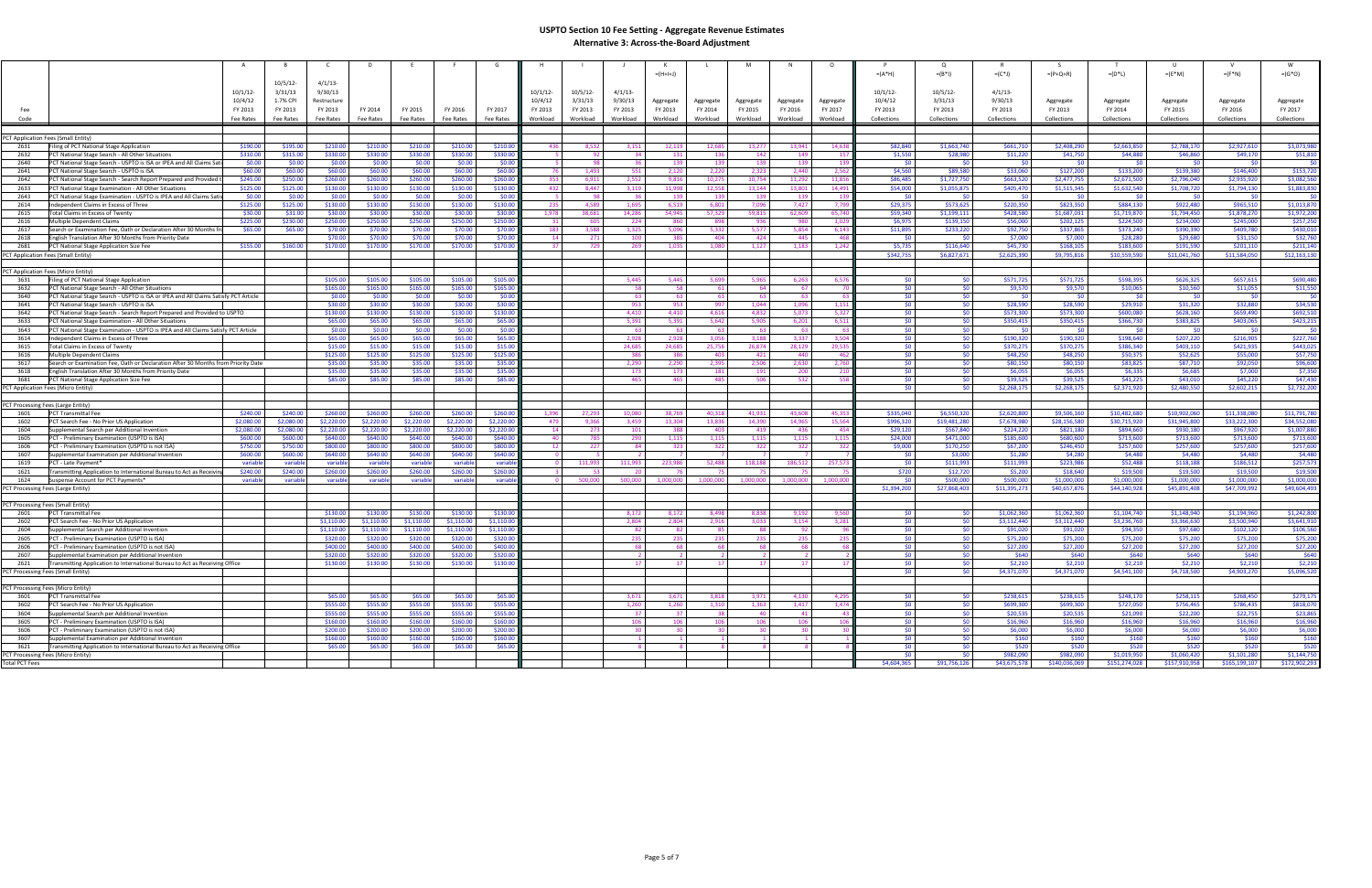|                                            |                                                                                                                                         |             |                    |                    |                    |                    |                    |             |             |                 | $= (H+H+J)$     |                 |                 |                   |           | $=(A^*H)$        | $=(B^*1)$    | $= (C^*J)$     | $=(P+Q+R)$       | $=(D^*L)$       | $=(E^*M)$        | $=(F^*N)$       | $=(G^*O)$         |
|--------------------------------------------|-----------------------------------------------------------------------------------------------------------------------------------------|-------------|--------------------|--------------------|--------------------|--------------------|--------------------|-------------|-------------|-----------------|-----------------|-----------------|-----------------|-------------------|-----------|------------------|--------------|----------------|------------------|-----------------|------------------|-----------------|-------------------|
|                                            |                                                                                                                                         | $10/5/12$ - | $4/1/13$ -         |                    |                    |                    |                    |             |             |                 |                 |                 |                 |                   |           |                  |              |                |                  |                 |                  |                 |                   |
|                                            | 10/1/12                                                                                                                                 | 3/31/13     | 9/30/13            |                    |                    |                    |                    | $10/1/12$ - | $10/5/12$ - | 4/1/13          |                 |                 |                 |                   |           | $10/1/12$ -      | 10/5/12      | $4/1/13$ -     |                  |                 |                  |                 |                   |
|                                            | 10/4/12                                                                                                                                 | 1.7% CPI    | Restructure        |                    |                    |                    |                    | 10/4/12     | 3/31/13     | 9/30/13         | Aggregate       | Aggregate       | Aggregate       | Aggregate         | Aggregate | 10/4/12          | 3/31/13      | 9/30/13        | Aggregate        | Aggregate       | Aggregate        |                 | Aggregate         |
|                                            |                                                                                                                                         |             |                    |                    |                    |                    |                    |             |             |                 |                 |                 |                 |                   |           |                  |              |                |                  |                 |                  | Aggregate       | FY 2017           |
| Fee                                        | FY 2013                                                                                                                                 | FY 2013     | FY 2013            | FY 2014            | FY 2015            | FY 2016            | FY 2017            | FY 2013     | FY 2013     | FY 2013         | FY 2013         | FY 2014         | FY 2015         | FY 2016           | FY 2017   | FY 2013          | FY 2013      | FY 2013        | FY 2013          | FY 2014         | FY 2015          | FY 2016         |                   |
| Code                                       | Fee Rates                                                                                                                               | Fee Rates   | Fee Rates          | Fee Rates          | Fee Rates          | Fee Rates          | Fee Rates          | Workload    | Workload    | Workload        | Workload        | Workload        | Workload        | Workload          | Workload  | Collections      | Collections  | Collections    | Collections      | Collections     | Collections      | Collections     | Collections       |
|                                            |                                                                                                                                         |             |                    |                    |                    |                    |                    |             |             |                 |                 |                 |                 |                   |           |                  |              |                |                  |                 |                  |                 |                   |
|                                            | PCT Application Fees (Small Entity)                                                                                                     |             |                    |                    |                    |                    |                    |             |             |                 |                 |                 |                 |                   |           |                  |              |                |                  |                 |                  |                 |                   |
| 2631                                       | \$190.00<br>Filing of PCT National Stage Application                                                                                    | \$195.00    | \$210.00           | \$210.00           | \$210.00           | \$210.00           | \$210.00           | 436         | 8,532       | 3,151           | 12,119          | 12,685          | 13,277          | 13,941            | 14,63     | \$82,840         | \$1,663,740  | \$661,710      | \$2,408,290      | \$2,663,850     | \$2,788,170      | \$2,927,610     | \$3,073,980       |
| 2632                                       | \$310.00<br>PCT National Stage Search - All Other Situations                                                                            | \$315.00    | \$330.00           | \$330.00           | \$330.00           | \$330.00           | \$330.00           |             | 92          | 34              | 131             | 136             | 142             | 149               | $-15$     | \$1,550          | \$28,980     | \$11,220       | \$41,750         | \$44,880        | \$46,860         | \$49,170        | \$51,810          |
| 2640                                       | \$0.00<br>PCT National Stage Search - USPTO is ISA or IPEA and All Claims Sati                                                          | \$0.00      | \$0.00             | \$0.00             | \$0.00             | \$0.00             | \$0.00             |             | 98          | -36             | 139             | 139             | 139             | 139               | -13       | SO.              | - \$0        | SO.            | \$0              | SO.             | ี <ีก            | 50 <sub>1</sub> | \$0               |
| 2641                                       | \$60.00<br>PCT National Stage Search - USPTO is ISA                                                                                     | \$60.00     | \$60.00            | \$60.00            | \$60.00            | \$60.00            | \$60.00            |             | 1,493       | 551             | 2,120           | 2,220           | 2,323           | 2.440             | 2,562     | \$4,560          | \$89,580     | \$33,060       | \$127,200        | \$133,200       | \$139,380        | \$146,400       | \$153,720         |
| 2642                                       | PCT National Stage Search - Search Report Prepared and Provided t<br>\$245.00                                                           | \$250.00    | \$260.00           | \$260.00           | \$260.00           | \$260.00           | \$260.00           | 353         | 6.911       | 2.552           | 9.816           | 10.275          | 10.754          | 11.292            | 11.856    | \$86,485         | \$1,727,750  | \$663,520      | \$2,477,755      | \$2,671,500     | \$2,796,040      | \$2,935,920     | \$3,082,560       |
| 2633                                       | \$125.00<br>PCT National Stage Examination - All Other Situations                                                                       | \$125.00    | \$130.00           | \$130.00           | \$130.00           | \$130.00           | \$130.00           | 432         | 8,447       | 3,119           | 11,998          | 12,558          | 13,144          | 13,801            | 14,491    | \$54,000         | \$1,055,875  | \$405,470      | \$1,515,345      | \$1,632,540     | \$1,708,720      | \$1,794,130     | \$1,883,830       |
| 2643                                       | \$0.00<br>PCT National Stage Examination - USPTO is IPEA and All Claims Satis                                                           | \$0.00      | \$0.00             | \$0.00             | \$0.00             | \$0.00             | \$0.00             |             | 98          | 36              | 139             | 139             | 139             | 139               | 13        | SO.              | - sr         | - SO           | SO.              | - ≮∩            |                  | SO.             | - <n< td=""></n<> |
| 2614                                       | \$125.00<br>Independent Claims in Excess of Three                                                                                       | \$125.00    | \$130.00           | \$130.00           | \$130.00           | \$130.00           | \$130.00           | 235         | 4,589       | 1,695           | 6,519           | 6,801           | 7,096           | 7,427             | 7,799     | \$29,375         | \$573,625    | \$220,350      | \$823,350        | \$884,130       | \$922,480        | \$965,510       | \$1,013,870       |
| 2615                                       | \$30.00<br>Total Claims in Excess of Twenty                                                                                             | \$31.00     | \$30.00            | \$30.00            | \$30.00            | \$30.00            | \$30.00            | 1,978       | 38.681      | 14,286          | 54,945          | 57,329          | 59,815          | 62,609            | 65,74     | \$59,340         | \$1,199,111  | \$428,580      | \$1,687,031      | \$1,719,870     | \$1,794,450      | \$1,878,270     | \$1,972,200       |
| 2616                                       | \$225.00<br>Multiple Dependent Claims                                                                                                   | \$230.00    | \$250.00           | \$250.00           | \$250.00           | \$250.00           | \$250.00           |             | 605         | 224             | 860             | 898             | 936             | 980               | 1,02      | \$6,975          | \$139,150    | \$56,000       | \$202,125        | \$224,500       | \$234,000        | \$245,000       | \$257,250         |
| 2617                                       | \$65.00<br>Search or Examination Fee, Oath or Declaration After 30 Months fr                                                            | \$65.00     | \$70.00            | \$70.00            | \$70.00            | \$70.00            | \$70.00            | 183         | 3,588       | 1,325           | 5,096           | 5,332           | 5,577           | 5,854             | 6,143     | \$11,895         | \$233,220    | \$92,750       | \$337,865        | \$373,240       | \$390,390        | \$409,780       | \$430,010         |
| 2618                                       | English Translation After 30 Months from Priority Date                                                                                  |             | \$70.00            | \$70.00            | \$70.00            | \$70.00            | \$70.00            |             | 271         | 100             | 385             | 404             | 424             | 445               |           | - \$0            |              | \$7,000        | \$7,000          | \$28,280        | \$29,680         | \$31,150        | \$32,760          |
| 2681                                       | \$155.00<br>PCT National Stage Application Size Fee                                                                                     | \$160.00    | \$170.00           | \$170.00           | \$170.00           | \$170.00           | \$170.00           |             | 729         | 269             | 1,035           | 1,080           | 1,127           | 1,183             | 1,242     | \$5,735          | \$116,640    | \$45,730       | \$168,105        | \$183,600       | \$191,590        | \$201,110       | \$211,140         |
| PCT Application Fees (Small Entity)        |                                                                                                                                         |             |                    |                    |                    |                    |                    |             |             |                 |                 |                 |                 |                   |           | \$342,755        | \$6,827,671  | \$2,625,390    | \$9,795,816      | \$10,559,590    | \$11,041,760     | \$11,584,050    | \$12,163,130      |
|                                            |                                                                                                                                         |             |                    |                    |                    |                    |                    |             |             |                 |                 |                 |                 |                   |           |                  |              |                |                  |                 |                  |                 |                   |
|                                            | PCT Application Fees (Micro Entity)                                                                                                     |             |                    |                    | \$105.00           |                    | \$105.00           |             |             |                 |                 |                 |                 |                   |           |                  | - \$0        | \$571,725      |                  |                 | \$626,325        |                 | \$690,480         |
| 3631                                       | Filing of PCT National Stage Application                                                                                                |             | \$105.00           | \$105.00           |                    | \$105.00           |                    |             |             | 5,445<br>58     | 5,445           | 5,699           | 5,965<br>-64    | 6,263<br>-67      | 6,576     | - \$0 I<br>-SO   | - \$0        |                | \$571,725        | \$598,395       |                  | \$657,615       |                   |
| 3632<br>3640                               | PCT National Stage Search - All Other Situations<br>PCT National Stage Search - USPTO is ISA or IPEA and All Claims Satisfy PCT Article |             | \$165.00<br>\$0.00 | \$165.00<br>\$0.00 | \$165.00<br>\$0.00 | \$165.00<br>\$0.00 | \$165.00<br>\$0.00 |             |             | 63              | 63              | 63              | 63              | - 63              |           | \$0              | \$0          | \$9,570<br>\$0 | \$9,570<br>- \$0 | \$10,065<br>\$0 | \$10,560<br>- 50 | \$11,055<br>\$0 | \$11,550<br>\$0   |
| 3641                                       | PCT National Stage Search - USPTO is ISA                                                                                                |             | \$30.00            | \$30.00            | \$30.00            | \$30.00            | \$30.00            |             |             | 953             | 953             | 997             | 1,044           | 1,096             | 1,15      | -SO              | - \$0        | \$28,590       | \$28,590         | \$29,910        | \$31,320         | \$32,880        | \$34,530          |
| 3642                                       | PCT National Stage Search - Search Report Prepared and Provided to USPTO                                                                |             | \$130.00           | \$130.00           | \$130.00           | \$130.00           | \$130.00           |             |             | 4,410           | 4,410           | 4,616           | 4,832           | 5,073             | 5,327     | SO <sub>2</sub>  | \$0          | \$573,300      | \$573,300        | \$600,080       | \$628,160        | \$659,490       | \$692,510         |
| 3633                                       | PCT National Stage Examination - All Other Situations                                                                                   |             | \$65.00            | \$65.00            | \$65.00            | \$65.00            | \$65.00            |             |             | 5,391           | 5,391           | 5,642           | 5,905           | 6,201             | 6,51      | -\$0             | - \$0        | \$350,415      | \$350,415        | \$366,730       | \$383,825        | \$403,065       | \$423,215         |
| 3643                                       | PCT National Stage Examination - USPTO is IPEA and All Claims Satisfy PCT Article                                                       |             | \$0.00             | \$0.00             | \$0.00             | \$0.00             | \$0.00             |             |             | -63             | - 63            | - 63            | -63             | - 63              |           | <b>SO</b>        | \$0          | -SO            | -\$0 I           | \$0             | - 50             | -SO             | \$0               |
| 3614                                       | Independent Claims in Excess of Three                                                                                                   |             | \$65.00            | \$65.00            | \$65.00            | \$65.00            | \$65.00            |             |             | 2.928           | 2,928           | 3.056           | 3,188           | 3.337             | 3.504     | \$0              | -50          | \$190,320      | \$190,320        | \$198,640       | \$207,220        | \$216,905       | \$227,760         |
| 3615                                       | Total Claims in Excess of Twenty                                                                                                        |             | \$15.00            | \$15.00            | \$15.00            | \$15.00            | \$15.00            |             |             | 24,685          | 24,685          | 25,756          | 26,874          | 28,129            | 29,535    | 50 <sub>1</sub>  | - \$0        | \$370,275      | \$370,275        | \$386,340       | \$403,110        | \$421,935       | \$443,025         |
| 3616                                       | <b>Multiple Dependent Claims</b>                                                                                                        |             | \$125.00           | \$125.00           | \$125.00           | \$125.00           | \$125.00           |             |             | 386             | 386             | 403             | 421             | $\Delta \Delta C$ |           | <b>SO</b>        | <b>SO</b>    | \$48,250       | \$48,250         | \$50,375        | \$52,625         | \$55,000        | \$57,750          |
| 3617                                       | Search or Examination Fee, Oath or Declaration After 30 Months from Priority Date                                                       |             | \$35.00            | \$35.00            | \$35.00            | \$35.00            | \$35.00            |             |             | 2,290           | 2,290           | 2,395           | 2,506           | 2,630             | 2,760     | 50 <sub>1</sub>  | \$0          | \$80,150       | \$80,150         | \$83,825        | \$87,710         | \$92,050        | \$96,600          |
| 3618                                       | English Translation After 30 Months from Priority Date                                                                                  |             | \$35.00            | \$35.00            | \$35.00            | \$35.00            | \$35.00            |             |             | 173             | 173             | 181             | 191             | 200               |           | SO <sub>1</sub>  | <b>SO</b>    | \$6,055        | \$6,055          | \$6,335         | \$6,685          | \$7,000         | \$7,350           |
| 3681                                       | PCT National Stage Application Size Fee                                                                                                 |             | \$85.00            | \$85.00            | \$85.00            | \$85.00            | \$85.00            |             |             | 465             | 465             | 485             | 506             | 532               | -55       | 50 <sup>1</sup>  | <b>SO</b>    | \$39,525       | \$39,525         | \$41,225        | \$43,010         | \$45,220        | \$47,430          |
| PCT Application Fees (Micro Entity         |                                                                                                                                         |             |                    |                    |                    |                    |                    |             |             |                 |                 |                 |                 |                   |           | \$0.             | <b>SO</b>    | \$2,268,175    | \$2,268,175      | \$2,371,920     | \$2,480,550      | \$2,602,215     | \$2,732,200       |
|                                            |                                                                                                                                         |             |                    |                    |                    |                    |                    |             |             |                 |                 |                 |                 |                   |           |                  |              |                |                  |                 |                  |                 |                   |
| PCT Processing Fees (Large Entity)         |                                                                                                                                         |             |                    |                    |                    |                    |                    |             |             |                 |                 |                 |                 |                   |           |                  |              |                |                  |                 |                  |                 |                   |
| 1601                                       | \$240.00<br>PCT Transmittal Fee                                                                                                         | \$240.00    | \$260.00           | \$260.00           | \$260.00           | \$260.00           | \$260.00           | 1,396       | 27,293      | 10,080          | 38,769          | 40,318          | 41,931          | 43,608            | 45,35     | \$335,040        | \$6,550,320  | \$2,620,800    | \$9,506,160      | \$10,482,680    | \$10,902,060     | \$11,338,080    | \$11,791,780      |
| 1602                                       | \$2,080.00<br>PCT Search Fee - No Prior US Application                                                                                  | \$2,080.00  | \$2,220.00         | \$2,220.00         | \$2,220.00         | \$2,220.00         | \$2,220.00         | 479         | 9,366       | 3,459           | 13,304          | 13,836          | 14,390          | 14,965            | 15,564    | \$996,320        | \$19,481,280 | \$7,678,980    | \$28,156,580     | \$30,715,920    | \$31,945,800     | \$33,222,300    | \$34,552,080      |
| 1604                                       | Supplemental Search per Additional Invention<br>\$2,080.00                                                                              | \$2,080.00  | \$2,220.00         | \$2,220.00         | \$2,220.00         | \$2,220.00         | \$2,220.00         | -14         | 273         | 101             | 388             | 403             | 419             | 436               | - 45      | \$29,120         | \$567,840    | \$224,220      | \$821,180        | \$894,660       | \$930,180        | \$967,920       | \$1,007,880       |
| 1605                                       | \$600.00<br>PCT - Preliminary Examination (USPTO is ISA)                                                                                | \$600.00    | \$640.00           | \$640.00           | \$640.00           | \$640.00           | \$640.00           | -40         | 785         | 290             | 1,115           | 1,115           | 1,115           | 1,115             | 1,11!     | \$24,000         | \$471,000    | \$185,600      | \$680,600        | \$713,600       | \$713,600        | \$713,600       | \$713,600         |
| 1606                                       | \$750.00<br>PCT - Preliminary Examination (USPTO is not ISA)                                                                            | \$750.00    | \$800.00           | \$800.00           | \$800.00           | \$800.00           | \$800.00           |             | 227         | 84              | 323             | 322             | 322             | 322               | -32       | \$9,000          | \$170,250    | \$67,200       | \$246,450        | \$257,600       | \$257,600        | \$257,600       | \$257,600         |
| 1607                                       | \$600.00<br>Supplemental Examination per Additional Inventior                                                                           | \$600.00    | \$640.00           | \$640.00           | \$640.00           | \$640.00           | \$640.00           |             |             |                 | $\overline{7}$  |                 | $\overline{7}$  |                   |           | \$0              | \$3,000      | \$1,280        | \$4,280          | \$4,480         | \$4,480          | \$4,480         | \$4,480           |
| 1619                                       | PCT - Late Payment*<br>variable                                                                                                         | variable    | variable           | variable           | variable           | variable           | variabl            |             | 111,993     | 111,993         | 223,986         | 52,488          | 118,188         | 186,512           | 257,57    | \$0              | \$111,993    | \$111,993      | \$223,986        | \$52,488        | \$118,188        | \$186,512       | \$257,573         |
| 1621                                       | \$240.00<br>Fransmitting Application to International Bureau to Act as Receiving                                                        | \$240.00    | \$260.00           | \$260.00           | \$260.00           | \$260.00           | \$260.00           |             | - 53        | -20             | 76              | - 75            | - 75            | -75               |           | \$720            | \$12,720     | \$5,200        | \$18,640         | \$19,500        | \$19,500         | \$19,500        | \$19,500          |
| 1624                                       | Suspense Account for PCT Payments*<br>variable                                                                                          | variable    | variable           | variable           | variable           | variable           | variabl            |             | 500,000     | 500,000         | 1,000,000       | 1,000,000       | 1,000,000       | 1,000,000         | 1,000,00  | - \$0            | \$500,000    | \$500,000      | \$1,000,000      | \$1,000,000     | \$1,000,000      | \$1,000,000     | \$1,000,000       |
| PCT Processing Fees (Large Entity)         |                                                                                                                                         |             |                    |                    |                    |                    |                    |             |             |                 |                 |                 |                 |                   |           | \$1,394,200      | \$27,868,403 | \$11,395,273   | \$40,657,876     | \$44,140,928    | \$45,891,408     | \$47,709,992    | \$49,604,493      |
|                                            |                                                                                                                                         |             |                    |                    |                    |                    |                    |             |             |                 |                 |                 |                 |                   |           |                  |              |                |                  |                 |                  |                 |                   |
| PCT Processing Fees (Small Entity)<br>2601 | <b>PCT Transmittal Fee</b>                                                                                                              |             | \$130.00           | \$130.00           | \$130.00           | \$130.00           | \$130.00           |             |             | 8,172           | 8,172           | 8,498           | 8,838           | 9,192             | 9,56      |                  |              | \$1,062,360    | \$1,062,360      | \$1,104,740     | \$1,148,940      | \$1,194,960     | \$1,242,800       |
| 2602                                       | PCT Search Fee - No Prior US Application                                                                                                |             | \$1,110.00         | \$1,110.00         | \$1,110.00         | \$1,110.00         | \$1,110.00         |             |             | 2,804           | 2,804           | 2,916           | 3,033           | 3,154             | 3,281     | <b>SO</b>        | \$0          | \$3,112,440    | \$3,112,440      | \$3,236,760     | \$3,366,630      | \$3,500,940     | \$3,641,910       |
| 2604                                       | Supplemental Search per Additional Inventior                                                                                            |             | \$1,110.00         | \$1,110.00         | \$1,110.00         | \$1,110.00         | \$1,110.00         |             |             | 82              |                 | -85             | -88             | -92               |           | SO.              | - \$0        | \$91,020       | \$91,020         | \$94,350        | \$97,680         | \$102,120       | \$106,560         |
| 2605                                       | PCT - Preliminary Examination (USPTO is ISA)                                                                                            |             | \$320.00           | \$320.00           | \$320.00           | \$320.00           | \$320.00           |             |             | 235             | 235             | 235             | 235             | 235               |           | SO <sub>2</sub>  | - \$0        | \$75,200       | \$75,200         | \$75,200        | \$75,200         | \$75,200        | \$75,200          |
| 2606                                       | PCT - Preliminary Examination (USPTO is not ISA)                                                                                        |             | \$400.00           | \$400.00           | \$400.00           | \$400.00           | \$400.00           |             |             | 68              | -68             | 68              | 68              | 68                |           | SO <sub>1</sub>  | \$0          | \$27,200       | \$27,200         | \$27,200        | \$27,200         | \$27,200        | \$27,200          |
| 2607                                       | Supplemental Examination per Additional Invention                                                                                       |             | \$320.00           | \$320.00           | \$320.00           | \$320.00           | \$320.00           |             |             |                 |                 |                 |                 |                   |           | 50 <sub>1</sub>  | \$0          | \$640          | \$640            | \$640           | \$640            | \$640           | \$640             |
| 2621                                       | Transmitting Application to International Bureau to Act as Receiving Office                                                             |             | \$130.00           | \$130.00           | \$130.00           | \$130.00           | \$130.00           |             |             | 17              | 17 <sup>1</sup> | 17 <sup>1</sup> | 17              | 17                |           |                  |              | \$2,210        | \$2,210          | \$2,210         | \$2,210          | \$2,210         | \$2,210           |
|                                            | PCT Processing Fees (Small Entity)                                                                                                      |             |                    |                    |                    |                    |                    |             |             |                 |                 |                 |                 |                   |           | 50 <sub>1</sub>  | \$0          | \$4,371,070    | \$4,371,070      | \$4,541,100     | \$4,718,500      | \$4,903,270     | \$5,096,520       |
|                                            |                                                                                                                                         |             |                    |                    |                    |                    |                    |             |             |                 |                 |                 |                 |                   |           |                  |              |                |                  |                 |                  |                 |                   |
|                                            | PCT Processing Fees (Micro Entity)                                                                                                      |             |                    |                    |                    |                    |                    |             |             |                 |                 |                 |                 |                   |           |                  |              |                |                  |                 |                  |                 |                   |
| 3601                                       | PCT Transmittal Fee                                                                                                                     |             | \$65.00            | \$65.00            | \$65.00            | \$65.00            | \$65.00            |             |             | 3,671           | 3,671           | 3,818           | 3,971           | 4,130             | 4,295     | SO <sub>1</sub>  | - \$0        | \$238,615      | \$238,615        | \$248,170       | \$258,115        | \$268,450       | \$279,175         |
| 3602                                       | PCT Search Fee - No Prior US Application                                                                                                |             | \$555.00           | \$555.00           | \$555.00           | \$555.00           | \$555.00           |             |             | 1,260           | 1,260           | 1,310           | 1,363           | 1,417             | 1,474     | \$0              | \$0          | \$699,300      | \$699,300        | \$727,050       | \$756,465        | \$786,435       | \$818,070         |
| 3604                                       | Supplemental Search per Additional Invention                                                                                            |             | \$555.00           | \$555.00           | \$555.00           | \$555.00           | \$555.00           |             |             | 37 <sup>1</sup> | 37 <sup>2</sup> | 38              | 40              | 41                |           | 50 <sup>1</sup>  | \$0          | \$20,535       | \$20,535         | \$21,090        | \$22,200         | \$22,755        | \$23,865          |
| 3605                                       | PCT - Preliminary Examination (USPTO is ISA)                                                                                            |             | \$160.00           | \$160.00           | \$160.00           | \$160.00           | \$160.00           |             |             | 106             | 106             | 106             | 106             | 106               | 106       | \$0              | \$0          | \$16,960       | \$16,960         | \$16,960        | \$16,960         | \$16,960        | \$16,960          |
| 3606                                       | PCT - Preliminary Examination (USPTO is not ISA)                                                                                        |             | \$200.00           | \$200.00           | \$200.00           | \$200.00           | \$200.00           |             |             | 30 <sup>1</sup> | 30 <sup>1</sup> | 30 <sub>1</sub> | 30 <sup>1</sup> | 30 <sup>°</sup>   |           | 50 <sup>1</sup>  | \$0          | \$6,000        | \$6,000          | \$6,000         | \$6,000          | \$6,000         | \$6,000           |
| 3607                                       | Supplemental Examination per Additional Invention                                                                                       |             | \$160.00           | \$160.00           | \$160.00           | \$160.00           | \$160.00           |             |             | $\mathbf{1}$    |                 |                 | 1               |                   |           | \$0 <sub>1</sub> | - \$0        | \$160          | \$160            | \$160           | \$160            | \$160           | \$160             |
| 3621                                       | Transmitting Application to International Bureau to Act as Receiving Office                                                             |             | \$65.00            | \$65.00            | \$65.00            | \$65.00            | \$65.00            |             |             | - 81            | - 81            | - 81            | -81             | 8 <sup>1</sup>    |           | 50 <sup>1</sup>  | \$0          | \$520          | \$520            | \$520           | \$520            | \$520           | \$520             |
|                                            | PCT Processing Fees (Micro Entity)                                                                                                      |             |                    |                    |                    |                    |                    |             |             |                 |                 |                 |                 |                   |           | SO.              | - \$0        | \$982,090      | \$982,090        | \$1,019,950     | \$1,060,420      | \$1,101,280     | \$1,144,750       |
| Total PCT Fees                             |                                                                                                                                         |             |                    |                    |                    |                    |                    |             |             |                 |                 |                 |                 |                   |           | \$4,604,365      | \$91,756,126 | \$43,675,578   | \$140,036,069    | \$151,274,028   | \$157,910,958    | \$165,199,107   | \$172,902,293     |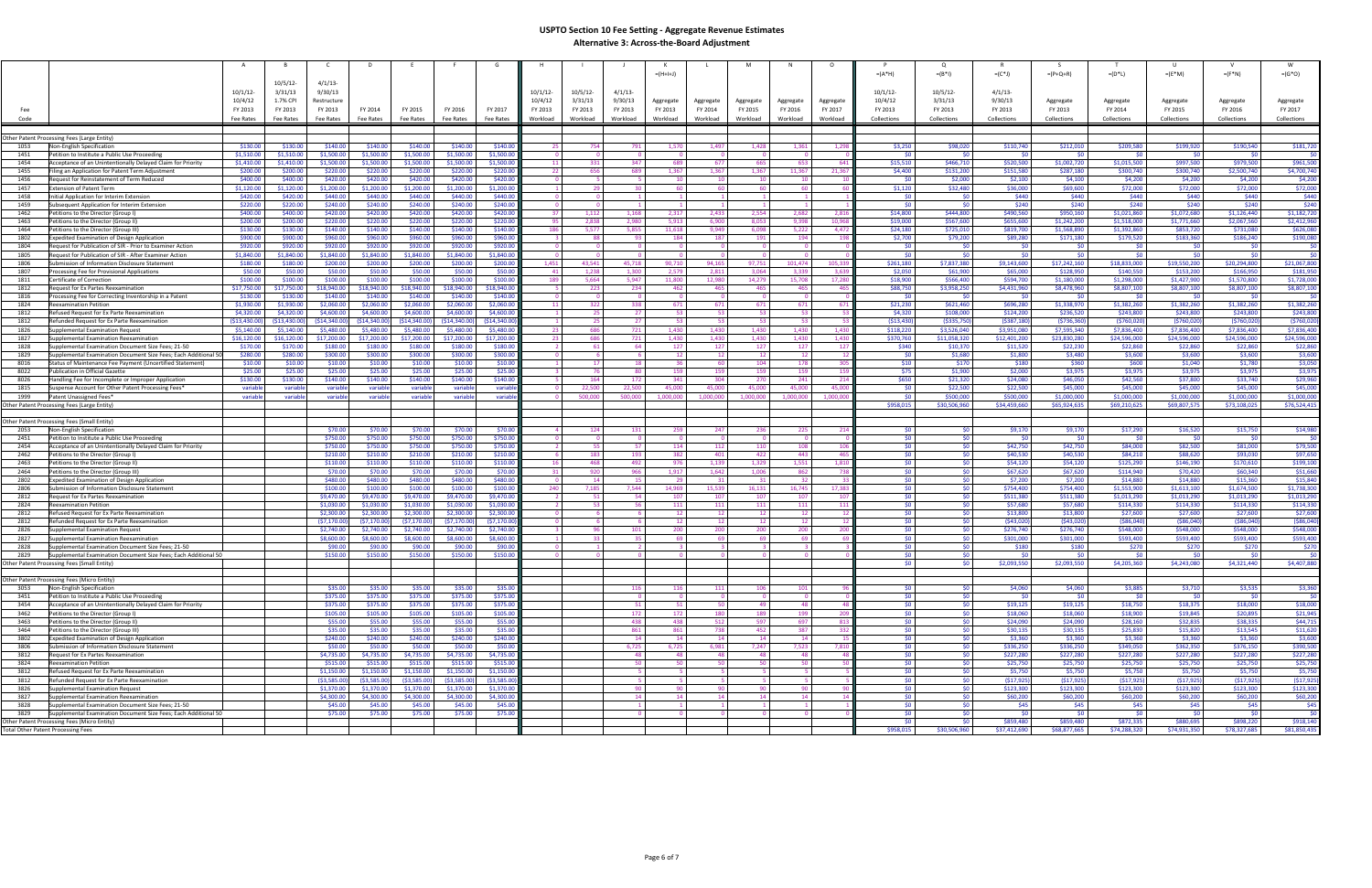|              |                                                                                                                                         |                         |                      |                      |                      |                         |                         |              |             |                          | $= (H + I + J)$ |                |                          |                 |             | $=(A^*H)$                          | $=(B^*1)$           | $=(C^*J)$            | $= (P + Q + R)$      | $= (D^*L)$           | $=(E^*M)$            | $= (F^*N)$           | $=(G^*O)$            |
|--------------|-----------------------------------------------------------------------------------------------------------------------------------------|-------------------------|----------------------|----------------------|----------------------|-------------------------|-------------------------|--------------|-------------|--------------------------|-----------------|----------------|--------------------------|-----------------|-------------|------------------------------------|---------------------|----------------------|----------------------|----------------------|----------------------|----------------------|----------------------|
|              |                                                                                                                                         | $10/5/12$ -             | $4/1/13$ -           |                      |                      |                         |                         |              |             |                          |                 |                |                          |                 |             |                                    |                     |                      |                      |                      |                      |                      |                      |
|              | 10/1/12                                                                                                                                 | 3/31/13                 | 9/30/13              |                      |                      |                         |                         | $10/1/12$ -  | $10/5/12$ - | 4/1/13                   |                 |                |                          |                 |             | $10/1/12$ -                        | 10/5/12             | $4/1/13$ -           |                      |                      |                      |                      |                      |
|              | 10/4/12                                                                                                                                 | 1.7% CPI                | Restructure          |                      |                      |                         |                         | 10/4/12      | 3/31/13     | 9/30/13                  | Aggregate       | Aggregate      | Aggregate                | Aggregate       | Aggregate   | 10/4/12                            | 3/31/13             | 9/30/13              | Aggregate            | Aggregate            | Aggregate            | Aggregate            | Aggregate            |
|              |                                                                                                                                         |                         |                      |                      |                      |                         |                         |              |             |                          |                 |                |                          |                 |             |                                    |                     |                      |                      |                      |                      |                      |                      |
| Fee          | FY 2013                                                                                                                                 | FY 2013                 | FY 2013              | FY 2014              | FY 2015              | FY 2016                 | FY 2017                 | FY 2013      | FY 2013     | FY 2013                  | FY 2013         | FY 2014        | FY 2015                  | FY 2016         | FY 2017     | FY 2013                            | FY 2013             | FY 2013              | FY 2013              | FY 2014              | FY 2015              | FY 2016              | FY 2017              |
| Code         | Fee Rates                                                                                                                               | Fee Rates               | Fee Rates            | Fee Rates            | Fee Rates            | Fee Rates               | Fee Rates               | Workload     | Workload    | Workload                 | Workload        | Workload       | Workload                 | Workload        | Workload    | Collections                        | Collections         | Collections          | Collections          | Collections          | Collections          | Collections          | Collections          |
|              |                                                                                                                                         |                         |                      |                      |                      |                         |                         |              |             |                          |                 |                |                          |                 |             |                                    |                     |                      |                      |                      |                      |                      |                      |
|              | Other Patent Processing Fees (Large Entity)                                                                                             |                         |                      |                      |                      |                         |                         |              |             |                          |                 |                |                          |                 |             |                                    |                     |                      |                      |                      |                      |                      |                      |
| 1053         | \$130.00<br>Non-English Specification                                                                                                   | \$130.00                | \$140.00             | \$140.00             | \$140.00             | \$140.00                | \$140.00                |              | 754         | 791                      | 1.570           | 1,497          | 1,428                    | 1,361           | 1,29        | \$3,250                            | \$98,020            | \$110,740            | \$212,010            | \$209,580            | \$199,920            | \$190,540            | \$181,720            |
| 1451         | \$1,510.00<br>Petition to Institute a Public Use Proceeding                                                                             | \$1,510.00              | \$1,500.00           | \$1,500.00           | \$1,500.00           | \$1,500.00              | \$1,500.00              |              | $\Omega$    | $\overline{\mathbf{0}}$  | - 0             |                | $\Omega$                 |                 |             | SO.                                | - \$0               | \$0                  | \$0                  | SO.                  | - 50                 | \$0                  | \$0                  |
| 1454         | \$1,410.00<br>Acceptance of an Unintentionally Delayed Claim for Priority                                                               | \$1,410.00              | \$1,500.00           | \$1,500.00           | \$1,500.00           | \$1,500.00              | \$1,500.00              | 11           | 331         | 347                      | 689             | 677            | 665                      | 653             | - 64        | \$15,510                           | \$466,710           | \$520,500            | \$1,002,720          | \$1,015,500          | \$997,500            | \$979,500            | \$961,500            |
| 1455         | \$200.00<br>Filing an Application for Patent Term Adjustment                                                                            | \$200.00                | \$220.00             | \$220.00             | \$220.00             | \$220.00                | \$220.00                | - 22         | 656         | 689                      | 1,367           | 1,367          | 1,367                    | 11,367          | 21,367      | \$4,400                            | \$131,200           | \$151,580            | \$287,180            | \$300,740            | \$300,740            | \$2,500,740          | \$4,700,740          |
| 1456         | \$400.00<br>Request for Reinstatement of Term Reduced                                                                                   | \$400.00                | \$420.00             | \$420.00             | \$420.00             | \$420.00                | \$420.00                |              |             | -5.                      | 10              | 10             | 10                       | 10              |             | - \$0                              | \$2,000             | \$2,100              | \$4,100              | \$4,200              | \$4,200              | \$4,200              | \$4,200              |
| 1457         | \$1,120.00<br>Extension of Patent Term                                                                                                  | \$1,120.00              | \$1,200.00           | \$1,200.00           | \$1,200.00           | \$1,200.00              | \$1,200.00              |              | 29          | 30 <sub>1</sub>          | -60             | -60            | 60                       | 60              |             | \$1,120                            | \$32,480            | \$36,000             | \$69,600             | \$72,000             | \$72,000             | \$72,000             | \$72,000             |
| 1458         | \$420.00<br>Initial Application for Interim Extension                                                                                   | \$420.00                | \$440.00             | \$440.00             | \$440.00             | \$440.00                | \$440.00                |              |             |                          |                 |                |                          |                 |             | <b>SO</b>                          | - \$0               | \$440                | \$440                | \$440                | \$440                | \$440                | \$440                |
| 1459         | Subsequent Application for Interim Extension<br>\$220.00                                                                                | \$220.00                | \$240.00             | \$240.00             | \$240.00             | \$240.00                | \$240.00                |              |             |                          |                 |                |                          |                 |             | - \$0                              | - \$0               | \$240                | \$240                | \$240                | \$240                | \$240                | \$240                |
| 1462         | \$400.00<br>Petitions to the Director (Group I                                                                                          | \$400.00                | \$420.00             | \$420.00             | \$420.00             | \$420.00                | \$420.00                | -37          | 1,112       | 1,168                    | 2,317           | 2,433          | 2,554                    | 2,682           | 2,816       | \$14,800                           | \$444,800           | \$490,560            | \$950,160            | \$1,021,860          | \$1,072,680          | \$1,126,440          | \$1,182,720          |
| 1463         | Petitions to the Director (Group II)<br>\$200.00                                                                                        | \$200.00                | \$220.00             | \$220.00             | \$220.00             | \$220.00                | \$220.00                |              | 2.838       | 2.980                    | 5,913           | 6.900          | 8,053                    | 9.398           | 10.96       | \$19,000                           | \$567,600           | \$655,600            | \$1,242,200          | \$1,518,000          | \$1,771,660          | \$2,067,560          | \$2,412,960          |
| 1464         | \$130.00<br>Petitions to the Director (Group III)                                                                                       | \$130.00                | \$140.00             | \$140.00             | \$140.00             | \$140.00                | \$140.00                | - 186        | 5,577       | 5,855                    | 11,618          | 9,949          | 6,098                    | 5,222           | 4,472       | \$24,180                           | \$725,010           | \$819,700            | \$1,568,890          | \$1,392,860          | \$853,720            | \$731,080            | \$626,080            |
| 1802         | \$900.00<br>Expedited Examination of Design Application                                                                                 | \$900.00                | \$960.00             | \$960.00             | \$960.00             | \$960.00                | \$960.00                |              | - 88        | 93.                      | 184             | 187            | 191                      | 194             |             | \$2,700                            | \$79,200            | \$89,280             | \$171,180            | \$179,520            | \$183,360            | \$186,240            | \$190,080            |
| 1804         | Request for Publication of SIR - Prior to Examiner Action<br>\$920.00                                                                   | \$920.00                | \$920.00             | \$920.00             | \$920.00             | \$920.00                | \$920.00                |              | - റ         | - 0                      | - 0             |                | - 0                      | - 0             |             | - \$0                              | - SC                | \$0                  | \$0                  | - \$0                | - SO                 | \$0                  | \$0                  |
| 1805         | \$1,840.00<br>Request for Publication of SIR - After Examiner Action                                                                    | \$1,840.00              | \$1,840.00           | \$1,840.00           | \$1,840.00           | \$1,840.00              | \$1,840.00              |              |             | - 0                      |                 |                |                          |                 |             | - \$0                              | - 50                | SO.                  | - \$0 l              | - \$0                |                      | \$0                  | \$0                  |
| 1806         | \$180.00<br>Submission of Information Disclosure Statement                                                                              | \$180.00                | \$200.00             | \$200.00             | \$200.00             | \$200.00                | \$200.00                | 1,451        | 43.541      | 45,718                   | 90,710          | 94,165         | 97,751                   | 101,474         | 105,33      | \$261,180                          | \$7,837,380         | \$9,143,600          | \$17,242,160         | \$18,833,000         | \$19,550,200         | \$20,294,800         | \$21,067,800         |
| 1807         | \$50.00<br>Processing Fee for Provisional Applications                                                                                  | \$50.00                 | \$50.00              | \$50.00              | \$50.00              | \$50.00                 | \$50.00                 |              | 1,238       | 1,300                    | 2,579           | 2,811          | 3,064                    | 3.339           | 3,63        | \$2,050                            | \$61,900            | \$65,000             | \$128,950            | \$140,550            | \$153,200            | \$166,950            | \$181,950            |
| 1811         | \$100.00<br>Certificate of Correction                                                                                                   | \$100.00                | \$100.00             | \$100.00             | \$100.00             | \$100.00                | \$100.00                | - 189        | 5.664       | 5,947                    | 11,800          | 12,980         | 14,279                   | 15,708          | 17,280      | \$18,900                           | \$566,400           | \$594,700            | \$1,180,000          | \$1,298,000          | \$1,427,900          | \$1,570,800          | \$1,728,000          |
| 1812         | \$17,750.00<br>Request for Ex Partes Reexamination                                                                                      | \$17,750.00             | \$18,940.00          | \$18,940.00          | 18,940.00            | \$18,940.00             | \$18,940.00             |              | 223         | 234                      | 462             | 465            | 465                      | 465             |             | \$88,750                           | \$3,958,250         | \$4,431,960          | \$8,478,960          | \$8,807,100          | \$8,807,100          | \$8,807,100          | \$8,807,100          |
| 1816         | \$130.00<br>Processing Fee for Correcting Inventorship in a Patent                                                                      | \$130.00                | \$140.00             | \$140.00             | \$140.00             | \$140.00                | \$140.00                |              | റ           | $\overline{\mathbf{0}}$  | <u>n</u>        |                | $\Omega$                 |                 |             | <b>SO</b>                          | <b>SO</b>           | \$0                  | - \$0 l              | -SO                  | - SO                 | \$0                  | \$0                  |
| 1824         | \$1,930.00<br>Reexamination Petition                                                                                                    | \$1,930.00              | \$2,060.00           | \$2,060.00           | \$2,060.00           | \$2,060.00              | \$2,060.00              |              | 322         | 338                      | 671             | 671            | 671                      | 671             | - 671       | \$21,230                           | \$621,460           | \$696,280            | \$1,338,970          | \$1,382,260          | \$1,382,260          | \$1,382,260          | \$1,382,260          |
| 1812         | \$4,320.00<br>Refused Request for Ex Parte Reexamination                                                                                | \$4,320.00              | \$4,600.00           | \$4,600.00           | \$4,600.00           | \$4,600.00              | \$4,600.00              |              | 25          | 27 <sup>1</sup>          | 53<br>-53       | 53<br>53       | 53<br>53                 | 53<br>53        |             | \$4,320                            | \$108,000           | \$124,200            | \$236,520            | \$243,800            | \$243,800            | \$243,800            | \$243,800            |
| 1812         | (513, 430.00)<br>Refunded Request for Ex Parte Reexamination                                                                            | (\$13,430.00]           | (514, 340.00)        | (514, 340.00)        | (514, 340.00)        | (514, 340.00)           | ( \$14, 340.00          |              | 25          | 27 <sub>1</sub>          |                 |                |                          |                 |             | (513, 430)                         | (\$335,750          | (5387, 180)          | (5736, 360)          | (5760, 020)          | (5760, 020)          | (5760, 020)          | (5760,020)           |
| 1826         | \$5,140.00<br>Supplemental Examination Request                                                                                          | \$5,140.00              | \$5,480.00           | \$5,480.00           | \$5,480.00           | \$5,480.00              | \$5,480.00              | - 23<br>- 23 | 686<br>686  | 721                      | 1,430<br>1.430  | 1,430          | 1,430                    | 1.430<br>1.430  | 1,430       | \$118,220                          | \$3,526,040         | \$3,951,080          | \$7,595,340          | \$7,836,400          | \$7,836,400          | \$7,836,400          | \$7,836,400          |
| 1827<br>1828 | \$16,120.00<br>Supplemental Examination Reexamination                                                                                   | \$16,120.00<br>\$170.00 | \$17,200.00          | \$17,200.00          | \$17,200.00          | \$17,200.00<br>\$180.00 | \$17,200.00<br>\$180.00 |              | 61          | 721<br>64                | 127             | 1,430          | 1,430                    | 127             | 1,430       | \$370,760                          | \$11,058,320        | \$12,401,200         | \$23,830,280         | \$24,596,000         | \$24,596,000         | \$24,596,000         | \$24,596,000         |
| 1829         | \$170.00<br>Supplemental Examination Document Size Fees; 21-50<br>\$280.00                                                              | \$280.00                | \$180.00<br>\$300.00 | \$180.00<br>\$300.00 | \$180.00<br>\$300.00 | \$300.00                | \$300.00                |              | -6          | 6                        | 12 <sup>1</sup> | 127<br>12      | 127<br>12                | 12              |             | \$340<br><b>SO</b>                 | \$10,370<br>\$1,680 | \$11,520<br>\$1,800  | \$22,230<br>\$3,480  | \$22,860<br>\$3,600  | \$22,860<br>\$3,600  | \$22,860<br>\$3,600  | \$22,860<br>\$3,600  |
| 8016         | Supplemental Examination Document Size Fees; Each Additional 50<br>Status of Maintenance Fee Payment (Uncertified Statement)<br>\$10.00 | \$10.00                 | \$10.00              | \$10.00              | \$10.00              | \$10.00                 | \$10.00                 |              | 17          | 18                       | 36 <sup>1</sup> | 60             | 104                      | 178             |             | \$10                               | \$170               | \$180                | \$360                | \$600                | \$1,040              | \$1,780              | \$3,050              |
| 8022         | \$25.00<br>Publication in Official Gazette                                                                                              | \$25.00                 | \$25.00              | \$25.00              | \$25.00              | \$25.00                 | \$25.00                 |              | - 76        | -80                      | 159             | 159            | 159                      | 159             | $-15$       | \$75                               | \$1,900             | \$2,000              | \$3,975              | \$3,975              | \$3,975              | \$3,975              | \$3,975              |
| 8026         | Handling Fee for Incomplete or Improper Application<br>\$130.00                                                                         | \$130.00                | \$140.00             | \$140.00             | \$140.00             | \$140.00                | \$140.00                |              | 164         | 172                      | 341             | 304            | 270                      | 241             | - 21        | \$650                              | \$21,320            | \$24,080             | \$46,050             | \$42,560             | \$37,800             | \$33,740             | \$29,960             |
| 1815         | Suspense Account for Other Patent Processing Fees*<br>variable                                                                          | variable                | variab               | variable             | variable             | variable                | variab                  |              | 22,500      | 22,500                   | 45.000          | 45.000         | 45,000                   | 45,000          | 45.00       | - \$0                              | \$22,500            | \$22,500             | \$45,000             | \$45,000             | \$45,000             | \$45,000             | \$45,000             |
| 1999         | Patent Unassigned Fees*<br>variable                                                                                                     | variable                | variable             | variable             | variable             | variable                | variabl                 |              | 500,000     | 500,000                  | 1,000,000       | 1,000,000      | 1,000,000                | 1,000,000       | 1,000,00    | SO.                                | \$500,000           | \$500,000            | \$1,000,000          | \$1,000,000          | \$1,000,000          | \$1,000,000          | \$1,000,000          |
|              | Other Patent Processing Fees (Large Entity)                                                                                             |                         |                      |                      |                      |                         |                         |              |             |                          |                 |                |                          |                 |             | \$958,015                          | \$30,506,960        | \$34,459,660         | \$65,924,635         | \$69,210,625         | \$69,807,575         | \$73,108,025         | \$76,524,415         |
|              |                                                                                                                                         |                         |                      |                      |                      |                         |                         |              |             |                          |                 |                |                          |                 |             |                                    |                     |                      |                      |                      |                      |                      |                      |
|              | Other Patent Processing Fees (Small Entity)                                                                                             |                         |                      |                      |                      |                         |                         |              |             |                          |                 |                |                          |                 |             |                                    |                     |                      |                      |                      |                      |                      |                      |
| 2053         | Non-English Specification                                                                                                               |                         | \$70.00              | \$70.00              | \$70.00              | \$70.00                 | \$70.00                 |              | 124         | 131                      | 259             | 247            | 236                      | 225             |             |                                    |                     | \$9,170              | \$9,170              | \$17,290             | \$16,520             | \$15,750             | \$14,980             |
| 2451         | Petition to Institute a Public Use Proceeding                                                                                           |                         | \$750.00             | \$750.00             | \$750.00             | \$750.00                | \$750.00                |              | $\Omega$    | $\overline{\mathbf{0}}$  | $\Omega$        | - 0            | - 0                      | - 0             |             | - \$0 I                            | <b>SO</b>           | \$0                  | - \$0 I              | \$0                  | - \$0                | \$0                  | \$0                  |
| 2454         | Acceptance of an Unintentionally Delayed Claim for Priority                                                                             |                         | \$750.00             | \$750.00             | \$750.00             | \$750.00                | \$750.00                |              | - 55        | 57                       | 114             | 112            | 110                      | 108             |             | -SO                                | - \$0               | \$42,750             | \$42,750             | \$84,000             | \$82,500             | \$81,000             | \$79,500             |
| 2462         | Petitions to the Director (Group I                                                                                                      |                         | \$210.00             | \$210.00             | \$210.00             | \$210.00                | \$210.00                |              | 183         | 193                      | 382             | 401            | 422                      | 443             | -46         | <b>SO</b>                          | - \$0               | \$40,530             | \$40,530             | \$84,210             | \$88,620             | \$93,030             | \$97,650             |
| 2463         | Petitions to the Director (Group II)                                                                                                    |                         | \$110.00             | \$110.00             | \$110.00             | \$110.00                | \$110.00                |              | 468         | 492                      | -976            | 1,139          | 1,329                    | 1.55:           | 1,81        | -SO                                | - \$0               | \$54,120             | \$54,120             | \$125,290            | \$146,190            | \$170,610            | \$199,100            |
| 2464         | Petitions to the Director (Group III)                                                                                                   |                         | \$70.00              | \$70.00              | \$70.00              | \$70.00                 | \$70.00                 | - 31         | 920         | 966                      | 1,917           | 1,642          | 1,006                    | 862             | - 73        | <b>SO</b>                          | \$0                 | \$67,620             | \$67,620             | \$114,940            | \$70,420             | \$60,340             | \$51,660             |
| 2802         | Expedited Examination of Design Application                                                                                             |                         | \$480.00             | \$480.00             | \$480.00             | \$480.00                | \$480.00                |              | 14          | 15                       | - 29            | - 31           | - 31                     | -32             |             | SO <sub>1</sub>                    | \$0                 | \$7,200              | \$7,200              | \$14,880             | \$14,880             | \$15,360             | \$15,840             |
| 2806         | Submission of Information Disclosure Statement                                                                                          |                         | \$100.00             | \$100.00             | \$100.00             | \$100.00                | \$100.00                | - 240        | 7,185       | 7,544                    | 14,969          | 15,539         | 16,131                   | 16,745          | 17,383      | SO <sub>2</sub>                    | - \$0               | \$754,400            | \$754,400            | \$1,553,900          | \$1,613,100          | \$1,674,500          | \$1,738,300          |
| 2812         | Request for Ex Partes Reexamination                                                                                                     |                         | \$9,470.00           | \$9,470.00           | \$9,470.00           | \$9,470.00              | \$9,470.00              |              | - 51        | 54                       | 107             | 107            | 107                      | 107             |             | - SO                               | - \$0               | \$511,380            | \$511,380            | \$1,013,290          | \$1,013,290          | \$1,013,290          | \$1,013,290          |
| 2824         | Reexamination Petition                                                                                                                  |                         | \$1,030.00           | \$1,030.00           | \$1,030.00           | \$1,030.00              | \$1,030.00              |              | 53          | 56                       | 111             | 111            | 111                      | 111             | -11         | \$0                                | \$0                 | \$57,680             | \$57,680             | \$114,330            | \$114,330            | \$114,330            | \$114,330            |
| 2812         | Refused Request for Ex Parte Reexamination                                                                                              |                         | \$2,300.00           | \$2,300.00           | \$2,300.00           | \$2,300.00              | \$2,300.00              |              |             | -6                       | 12              | 12             | 12                       | 12 <sup>1</sup> |             | <b>SO</b>                          |                     | \$13,800             | \$13,800             | \$27,600             | \$27,600             | \$27,600             | \$27,600             |
| 2812         | Refunded Request for Ex Parte Reexamination                                                                                             |                         | (57, 170.00)         | (57, 170.00)         | (57, 170.00)         | (57, 170.00)            | (57, 170.00)            |              | -6          | - 6                      | 12 <sub>1</sub> | 12             | 12                       | 12              |             | -SO                                | - \$0               | (543,020)            | (543,020)            | ( \$86,040)          | ( \$86,040]          | ( \$86,040)          | ( \$86,040)          |
| 2826         | Supplemental Examination Request                                                                                                        |                         | \$2,740.00           | \$2,740.00           | \$2,740.00           | \$2,740.00              | \$2,740.00              |              | 96          | 101                      | 200             | 200            | 200                      | 200             |             | -\$0                               | - \$0               | \$276,740            | \$276,740            | \$548,000            | \$548,000            | \$548,000            | \$548,000            |
| 2827         | Supplemental Examination Reexamination                                                                                                  |                         | \$8,600.00           | \$8,600.00           | \$8,600.00           | \$8,600.00              | \$8,600.00              |              | 33          | 35                       | 69              | 69             | 69                       | 69              |             | 50 <sup>1</sup>                    | <b>SO</b>           | \$301,000            | \$301,000            | \$593,400            | \$593,400            | \$593,400            | \$593,400            |
| 2828         | Supplemental Examination Document Size Fees; 21-50                                                                                      |                         | \$90.00              | \$90.00              | \$90.00              | \$90.00                 | \$90.00                 |              |             |                          |                 |                |                          |                 |             | SO <sub>1</sub>                    |                     | \$180                | \$180                | \$270                | \$270                | \$270                | \$270                |
| 2829         | Supplemental Examination Document Size Fees; Each Additional 50                                                                         |                         | \$150.00             | \$150.00             | \$150.00             | \$150.00                | \$150.00                |              | $\Omega$    |                          |                 |                |                          |                 |             | 50 <sub>1</sub>                    | \$0                 | \$0                  | 50 <sub>1</sub>      | \$0                  | -50                  | 50 <sub>1</sub>      | \$0                  |
|              | Other Patent Processing Fees (Small Entity)                                                                                             |                         |                      |                      |                      |                         |                         |              |             |                          |                 |                |                          |                 |             |                                    |                     | \$2,093,550          | \$2,093,550          | \$4,205,360          | \$4,243,080          | \$4,321,440          | \$4,407,880          |
|              |                                                                                                                                         |                         |                      |                      |                      |                         |                         |              |             |                          |                 |                |                          |                 |             |                                    |                     |                      |                      |                      |                      |                      |                      |
|              | Other Patent Processing Fees (Micro Entity)                                                                                             |                         |                      |                      |                      |                         |                         |              |             |                          |                 |                |                          |                 |             |                                    |                     |                      |                      |                      |                      |                      |                      |
| 3053         | Non-English Specification                                                                                                               |                         | \$35.00              | \$35.00              | \$35.00              | \$35.00                 | \$35.00                 |              |             | 116                      | 116             | 111            | 106                      | 101             |             | SO I                               | - \$0               | \$4,060              | \$4,060              | \$3,885              | \$3,710              | \$3,535              | \$3,360              |
| 3451         | Petition to Institute a Public Use Proceeding                                                                                           |                         | \$375.00             | \$375.00             | \$375.00             | \$375.00                | \$375.00                |              |             | $\overline{\phantom{0}}$ | $\overline{0}$  | $\overline{0}$ | $\overline{\phantom{0}}$ | $\overline{0}$  |             | 50 <sup>1</sup>                    | \$0                 | <b>SO</b>            | 50 <sub>1</sub>      | <b>SO</b>            | SO <sub>2</sub>      | 50 <sub>1</sub>      | SO <sub>2</sub>      |
| 3454<br>3462 | Acceptance of an Unintentionally Delayed Claim for Priority<br>Petitions to the Director (Group I)                                      |                         | \$375.00<br>\$105.00 | \$375.00<br>\$105.00 | \$375.00<br>\$105.00 | \$375.00<br>\$105.00    | \$375.00<br>\$105.00    |              |             | 51<br>172                | 51<br>172       | 50<br>180      | 49<br>189                | 48<br>199       | 209         | 50 <sub>1</sub><br>50 <sub>1</sub> | - \$0<br>\$0        | \$19,125<br>\$18,060 | \$19,125<br>\$18,060 | \$18,750<br>\$18,900 | \$18,375<br>\$19,845 | \$18,000<br>\$20,895 | \$18,000<br>\$21,945 |
| 3463         |                                                                                                                                         |                         | \$55.00              | \$55.00              | \$55.00              | \$55.00                 | \$55.00                 |              |             |                          | 438             |                | 597                      | 697             |             | SO I                               | \$0                 | \$24,090             | \$24,090             | \$28,160             | \$32,835             | \$38,335             | \$44,715             |
| 3464         | Petitions to the Director (Group II)<br>Petitions to the Director (Group III)                                                           |                         | \$35.00              | \$35.00              | \$35.00              | \$35.00                 | \$35.00                 |              |             | 438<br>861               | 861             | 512<br>738     | 452                      | 387             | 81<br>- 332 | - \$0 I                            | \$0                 | \$30,135             | \$30,135             | \$25,830             | \$15,820             | \$13,545             | \$11,620             |
| 3802         | <b>Expedited Examination of Design Application</b>                                                                                      |                         | \$240.00             | \$240.00             | \$240.00             | \$240.00                | \$240.00                |              |             | 14                       | 14              | 14             | 14                       | 14              |             | <b>SO</b>                          | \$0                 | \$3,360              | \$3,360              | \$3,360              | \$3,360              | \$3,360              | \$3,600              |
| 3806         | Submission of Information Disclosure Statement                                                                                          |                         | \$50.00              | \$50.00              | \$50.00              | \$50.00                 | \$50.00                 |              |             | 6,725                    | 6,725           | 6,981          | 7,247                    | 7,523           | 7,810       | <b>SO</b>                          | \$0                 | \$336,250            | \$336,250            | \$349,050            | \$362,350            | \$376,150            | \$390,500            |
| 3812         | Request for Ex Partes Reexamination                                                                                                     |                         | \$4,735.00           | \$4,735.00           | \$4,735.00           | \$4,735.00              | \$4,735.00              |              |             | 48                       | 48              | - 48           | 48                       | 48              |             | 50 <sub>1</sub>                    | \$0                 | \$227,280            | \$227,280            | \$227,280            | \$227,280            | \$227,280            | \$227,280            |
| 3824         | <b>Reexamination Petition</b>                                                                                                           |                         | \$515.00             | \$515.00             | \$515.00             | \$515.00                | \$515.00                |              |             | 50                       | 50              | 50             | 50                       | 50              |             | - \$0 I                            | \$0                 | \$25,750             | \$25,750             | \$25,750             | \$25,750             | \$25,750             | \$25,750             |
| 3812         | Refused Request for Ex Parte Reexamination                                                                                              |                         | \$1,150.00           | \$1,150.00           | \$1,150.00           | \$1,150.00              | \$1,150.00              |              |             |                          |                 |                |                          |                 |             | SO <sub>2</sub>                    | \$0                 | \$5,750              | \$5,750              | \$5,750              | \$5,750              | \$5,750              | \$5,750              |
| 3812         | Refunded Request for Ex Parte Reexamination                                                                                             |                         | (53,585.00)          | (53,585.00)          | ( \$3,585.00)        | ( \$3,585.00)           | (53,585.00)             |              |             | - 5 1                    | - 51            | 5              | 5 <sub>1</sub>           | - 5             |             | 50 <sub>1</sub>                    | \$0                 | (517, 925)           | (517, 925)           | (517, 925)           | (517, 925)           | (517, 925)           | (517, 925)           |
| 3826         | Supplemental Examination Request                                                                                                        |                         | \$1,370.00           | \$1,370.00           | \$1,370.00           | \$1,370.00              | \$1,370.00              |              |             | 90                       | 90              | 90             | 90                       | 90              |             | 50 <sub>1</sub>                    | \$0                 | \$123,300            | \$123,300            | \$123,300            | \$123,300            | \$123,300            | \$123,300            |
| 3827         | Supplemental Examination Reexamination                                                                                                  |                         | \$4,300.00           | \$4,300.00           | \$4,300.00           | \$4,300.00              | \$4,300.00              |              |             | 14                       | 14              | 14             | 14                       | 14              |             | \$0                                | \$0                 | \$60,200             | \$60,200             | \$60,200             | \$60,200             | \$60,200             | \$60,200             |
| 3828         | Supplemental Examination Document Size Fees; 21-50                                                                                      |                         | \$45.00              | \$45.00              | \$45.00              | \$45.00                 | \$45.00                 |              |             | $\overline{1}$           |                 |                |                          |                 |             | 50 <sub>1</sub>                    | \$0                 | \$45                 | \$45                 | \$45                 | \$45                 | \$45                 | \$45                 |
| 3829         | Supplemental Examination Document Size Fees; Each Additional 50                                                                         |                         | \$75.00              | \$75.00              | \$75.00              | \$75.00                 | \$75.00                 |              |             | $\overline{\mathbf{0}}$  | $\Omega$        | - 0            | $\Omega$                 | $\overline{0}$  |             | 50 <sub>1</sub>                    | 50                  | \$0                  | 50 <sub>1</sub>      | \$0                  | <b>SO</b>            | 50                   | \$0                  |
|              | Other Patent Processing Fees (Micro Entity)                                                                                             |                         |                      |                      |                      |                         |                         |              |             |                          |                 |                |                          |                 |             | SO.                                | _<ດ                 | \$859,480            | \$859,480            | \$872,335            | \$880,695            | \$898,220            | \$918,140            |
|              | <b>Total Other Patent Processing Fees</b>                                                                                               |                         |                      |                      |                      |                         |                         |              |             |                          |                 |                |                          |                 |             | \$958,015                          | \$30,506,960        | \$37,412,690         | \$68,877,665         | \$74,288,320         | \$74,931,350         | \$78,327,685         | \$81,850,435         |